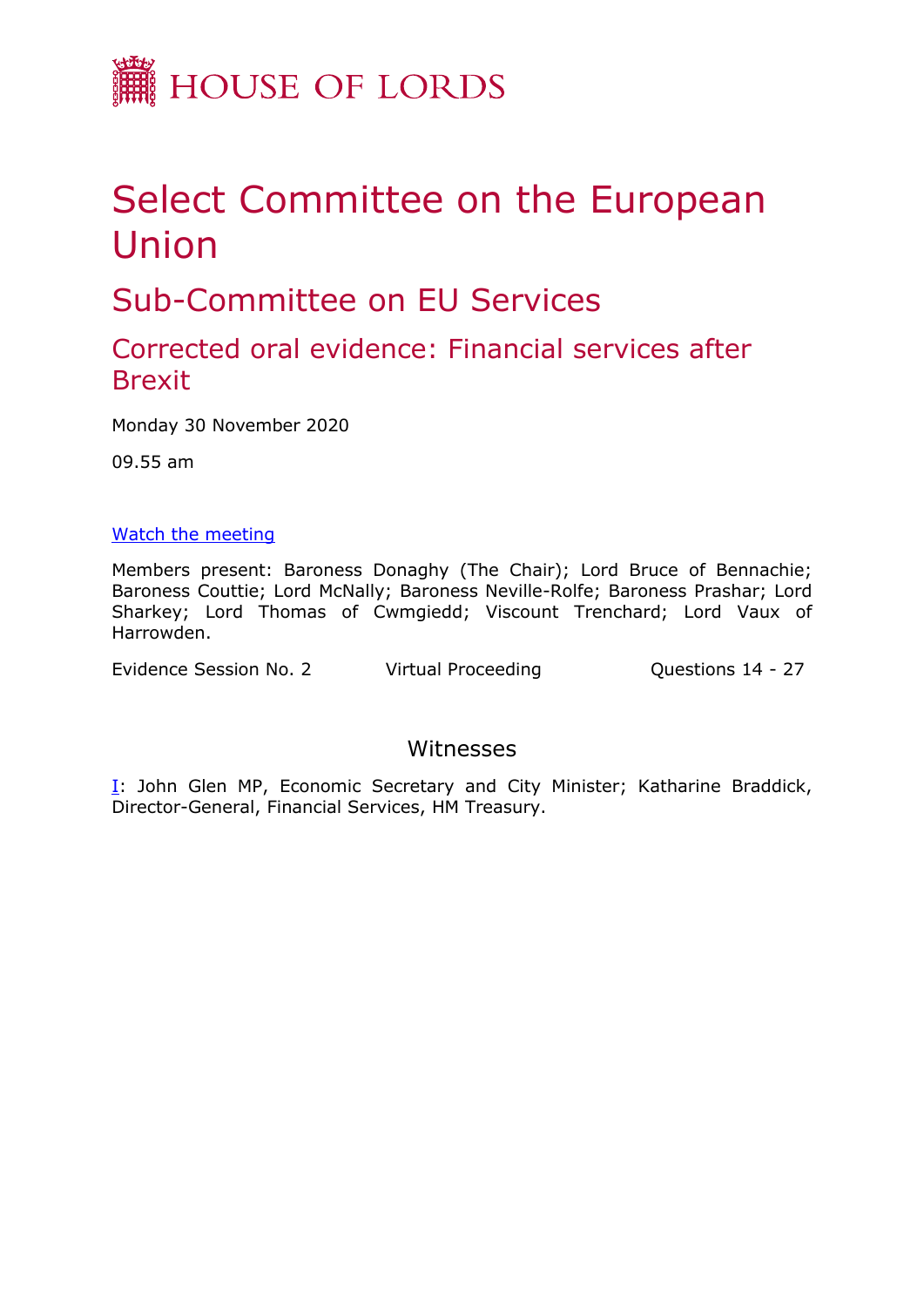

# Select Committee on the European Union

Sub-Committee on EU Services

## Corrected oral evidence: Financial services after **Brexit**

Monday 30 November 2020

09.55 am

#### [Watch the meeting](https://parliamentlive.tv/Event/Index/18972dee-5af8-416a-b277-b3f786a2a211)

Members present: Baroness Donaghy (The Chair); Lord Bruce of Bennachie; Baroness Couttie; Lord McNally; Baroness Neville-Rolfe; Baroness Prashar; Lord Sharkey; Lord Thomas of Cwmgiedd; Viscount Trenchard; Lord Vaux of Harrowden.

Evidence Session No. 2 Virtual Proceeding Cuestions 14 - 27

### Witnesses

[I:](#page-1-0) John Glen MP, Economic Secretary and City Minister; Katharine Braddick, Director-General, Financial Services, HM Treasury.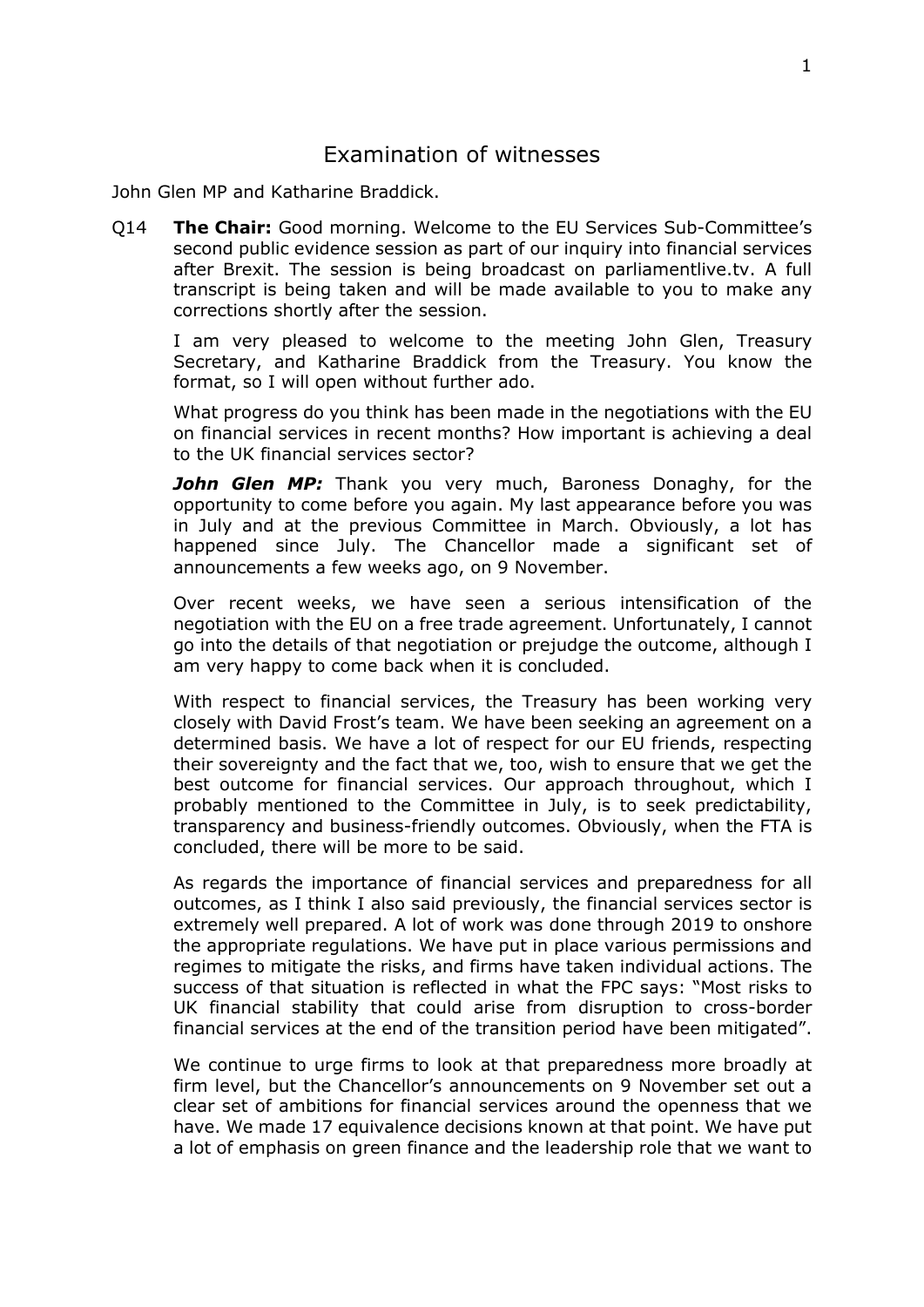#### Examination of witnesses

<span id="page-1-0"></span>John Glen MP and Katharine Braddick.

Q14 **The Chair:** Good morning. Welcome to the EU Services Sub-Committee's second public evidence session as part of our inquiry into financial services after Brexit. The session is being broadcast on parliamentlive.tv. A full transcript is being taken and will be made available to you to make any corrections shortly after the session.

I am very pleased to welcome to the meeting John Glen, Treasury Secretary, and Katharine Braddick from the Treasury. You know the format, so I will open without further ado.

What progress do you think has been made in the negotiations with the EU on financial services in recent months? How important is achieving a deal to the UK financial services sector?

*John Glen MP:* Thank you very much, Baroness Donaghy, for the opportunity to come before you again. My last appearance before you was in July and at the previous Committee in March. Obviously, a lot has happened since July. The Chancellor made a significant set of announcements a few weeks ago, on 9 November.

Over recent weeks, we have seen a serious intensification of the negotiation with the EU on a free trade agreement. Unfortunately, I cannot go into the details of that negotiation or prejudge the outcome, although I am very happy to come back when it is concluded.

With respect to financial services, the Treasury has been working very closely with David Frost's team. We have been seeking an agreement on a determined basis. We have a lot of respect for our EU friends, respecting their sovereignty and the fact that we, too, wish to ensure that we get the best outcome for financial services. Our approach throughout, which I probably mentioned to the Committee in July, is to seek predictability, transparency and business-friendly outcomes. Obviously, when the FTA is concluded, there will be more to be said.

As regards the importance of financial services and preparedness for all outcomes, as I think I also said previously, the financial services sector is extremely well prepared. A lot of work was done through 2019 to onshore the appropriate regulations. We have put in place various permissions and regimes to mitigate the risks, and firms have taken individual actions. The success of that situation is reflected in what the FPC says: "Most risks to UK financial stability that could arise from disruption to cross-border financial services at the end of the transition period have been mitigated".

We continue to urge firms to look at that preparedness more broadly at firm level, but the Chancellor's announcements on 9 November set out a clear set of ambitions for financial services around the openness that we have. We made 17 equivalence decisions known at that point. We have put a lot of emphasis on green finance and the leadership role that we want to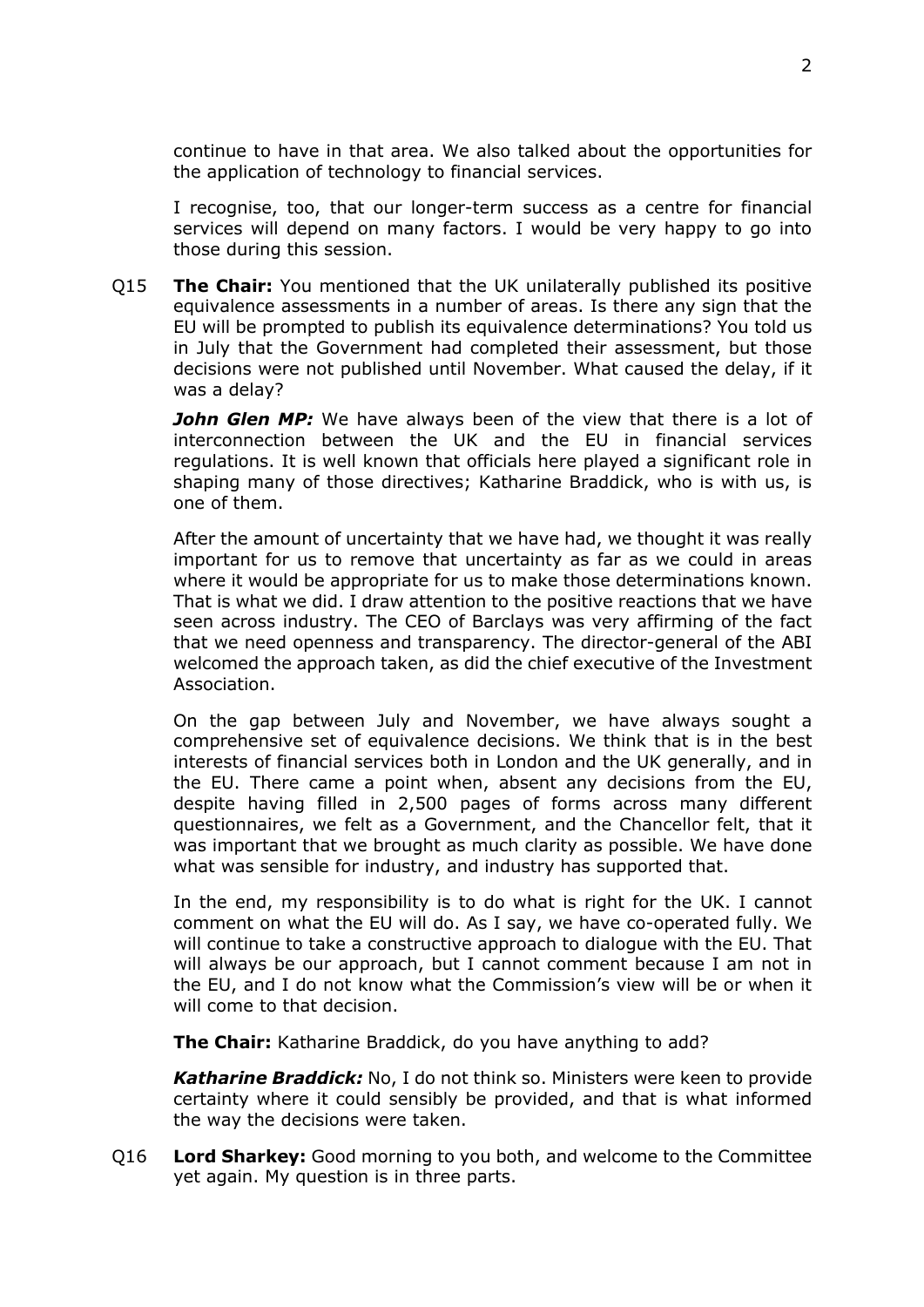continue to have in that area. We also talked about the opportunities for the application of technology to financial services.

I recognise, too, that our longer-term success as a centre for financial services will depend on many factors. I would be very happy to go into those during this session.

Q15 **The Chair:** You mentioned that the UK unilaterally published its positive equivalence assessments in a number of areas. Is there any sign that the EU will be prompted to publish its equivalence determinations? You told us in July that the Government had completed their assessment, but those decisions were not published until November. What caused the delay, if it was a delay?

**John Glen MP:** We have always been of the view that there is a lot of interconnection between the UK and the EU in financial services regulations. It is well known that officials here played a significant role in shaping many of those directives; Katharine Braddick, who is with us, is one of them.

After the amount of uncertainty that we have had, we thought it was really important for us to remove that uncertainty as far as we could in areas where it would be appropriate for us to make those determinations known. That is what we did. I draw attention to the positive reactions that we have seen across industry. The CEO of Barclays was very affirming of the fact that we need openness and transparency. The director-general of the ABI welcomed the approach taken, as did the chief executive of the Investment Association.

On the gap between July and November, we have always sought a comprehensive set of equivalence decisions. We think that is in the best interests of financial services both in London and the UK generally, and in the EU. There came a point when, absent any decisions from the EU, despite having filled in 2,500 pages of forms across many different questionnaires, we felt as a Government, and the Chancellor felt, that it was important that we brought as much clarity as possible. We have done what was sensible for industry, and industry has supported that.

In the end, my responsibility is to do what is right for the UK. I cannot comment on what the EU will do. As I say, we have co-operated fully. We will continue to take a constructive approach to dialogue with the EU. That will always be our approach, but I cannot comment because I am not in the EU, and I do not know what the Commission's view will be or when it will come to that decision.

**The Chair:** Katharine Braddick, do you have anything to add?

*Katharine Braddick:* No, I do not think so. Ministers were keen to provide certainty where it could sensibly be provided, and that is what informed the way the decisions were taken.

Q16 **Lord Sharkey:** Good morning to you both, and welcome to the Committee yet again. My question is in three parts.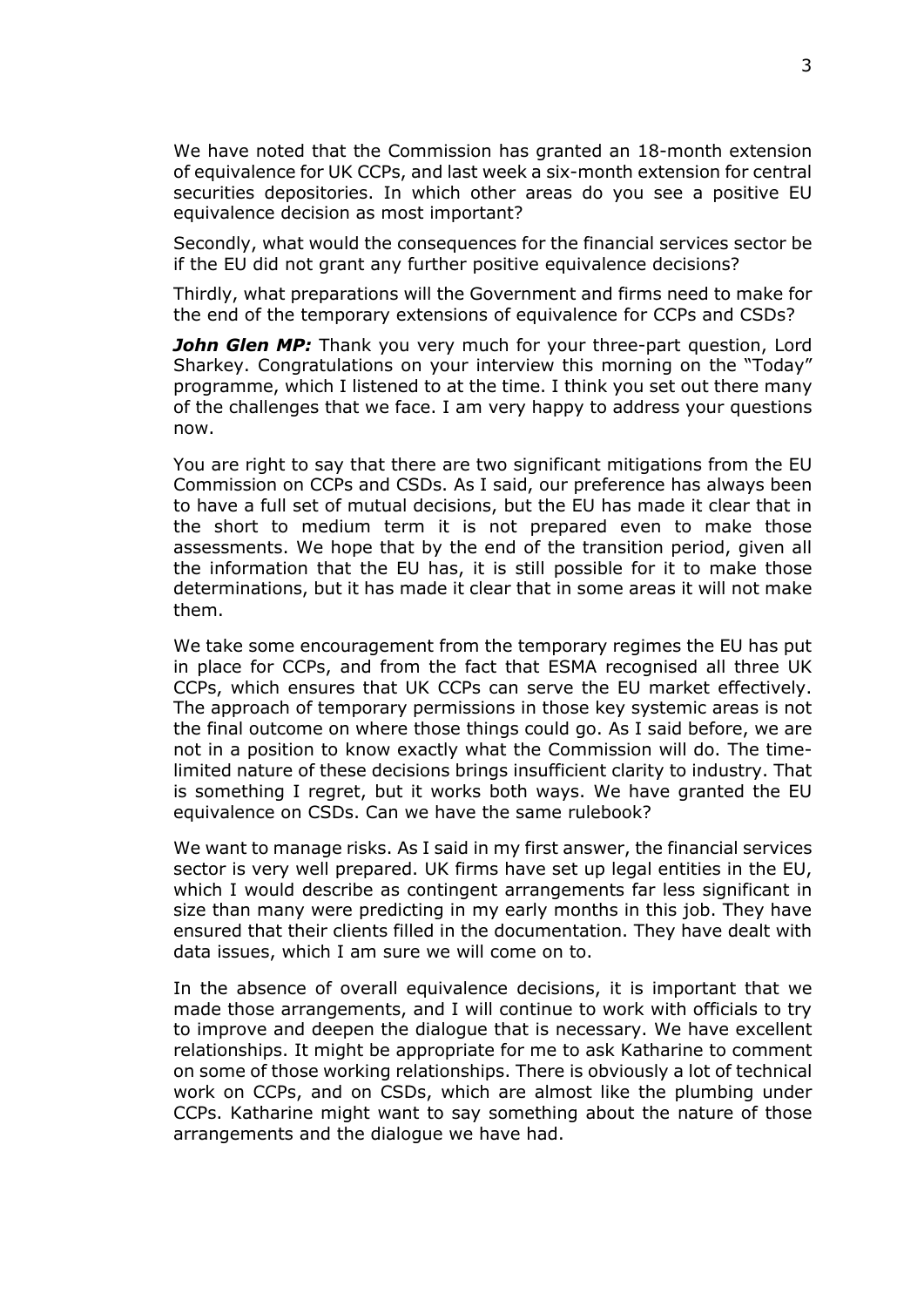We have noted that the Commission has granted an 18-month extension of equivalence for UK CCPs, and last week a six-month extension for central securities depositories. In which other areas do you see a positive EU equivalence decision as most important?

Secondly, what would the consequences for the financial services sector be if the EU did not grant any further positive equivalence decisions?

Thirdly, what preparations will the Government and firms need to make for the end of the temporary extensions of equivalence for CCPs and CSDs?

*John Glen MP:* Thank you very much for your three-part question, Lord Sharkey. Congratulations on your interview this morning on the "Today" programme, which I listened to at the time. I think you set out there many of the challenges that we face. I am very happy to address your questions now.

You are right to say that there are two significant mitigations from the EU Commission on CCPs and CSDs. As I said, our preference has always been to have a full set of mutual decisions, but the EU has made it clear that in the short to medium term it is not prepared even to make those assessments. We hope that by the end of the transition period, given all the information that the EU has, it is still possible for it to make those determinations, but it has made it clear that in some areas it will not make them.

We take some encouragement from the temporary regimes the EU has put in place for CCPs, and from the fact that ESMA recognised all three UK CCPs, which ensures that UK CCPs can serve the EU market effectively. The approach of temporary permissions in those key systemic areas is not the final outcome on where those things could go. As I said before, we are not in a position to know exactly what the Commission will do. The timelimited nature of these decisions brings insufficient clarity to industry. That is something I regret, but it works both ways. We have granted the EU equivalence on CSDs. Can we have the same rulebook?

We want to manage risks. As I said in my first answer, the financial services sector is very well prepared. UK firms have set up legal entities in the EU, which I would describe as contingent arrangements far less significant in size than many were predicting in my early months in this job. They have ensured that their clients filled in the documentation. They have dealt with data issues, which I am sure we will come on to.

In the absence of overall equivalence decisions, it is important that we made those arrangements, and I will continue to work with officials to try to improve and deepen the dialogue that is necessary. We have excellent relationships. It might be appropriate for me to ask Katharine to comment on some of those working relationships. There is obviously a lot of technical work on CCPs, and on CSDs, which are almost like the plumbing under CCPs. Katharine might want to say something about the nature of those arrangements and the dialogue we have had.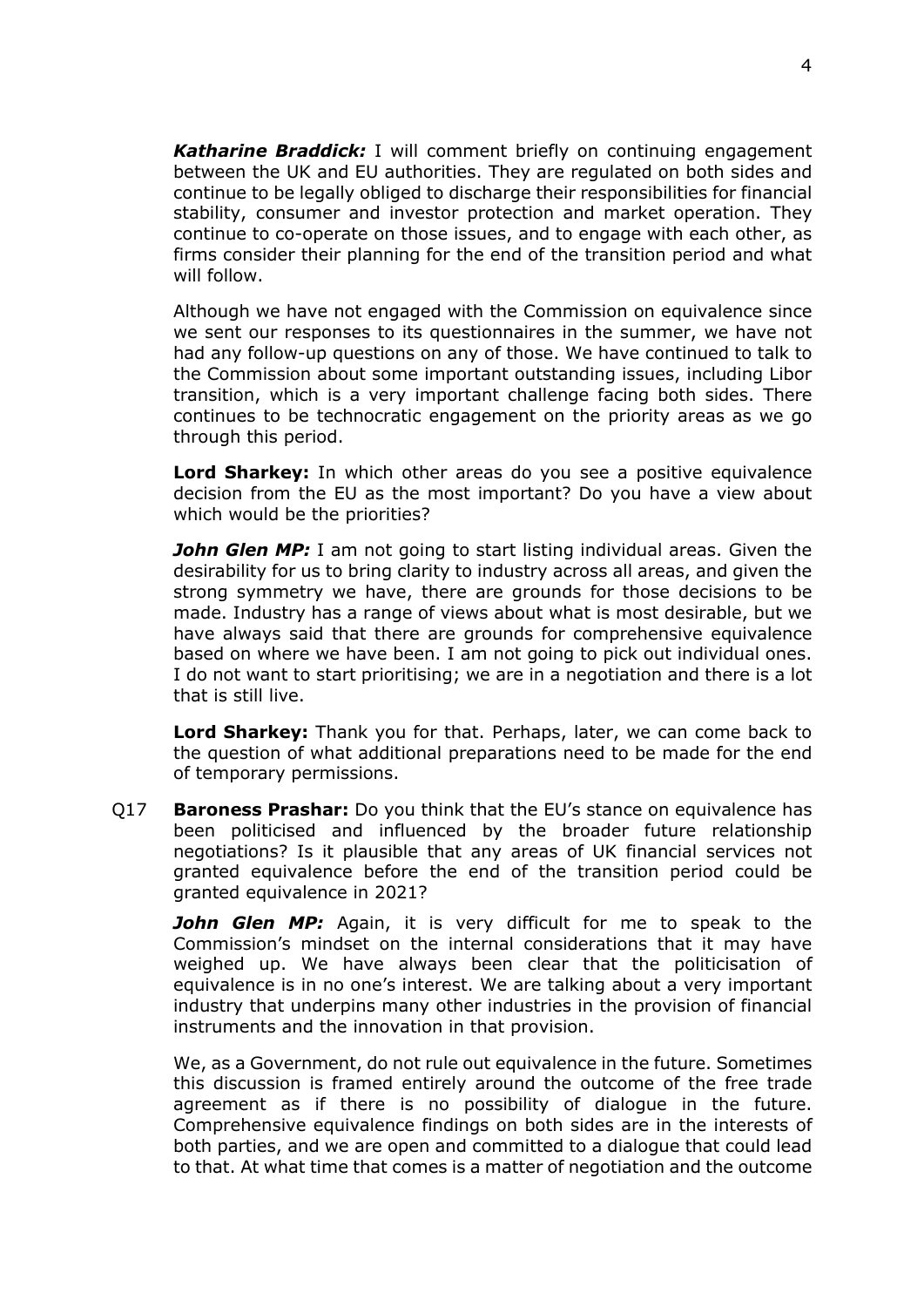*Katharine Braddick:* I will comment briefly on continuing engagement between the UK and EU authorities. They are regulated on both sides and continue to be legally obliged to discharge their responsibilities for financial stability, consumer and investor protection and market operation. They continue to co-operate on those issues, and to engage with each other, as firms consider their planning for the end of the transition period and what will follow.

Although we have not engaged with the Commission on equivalence since we sent our responses to its questionnaires in the summer, we have not had any follow-up questions on any of those. We have continued to talk to the Commission about some important outstanding issues, including Libor transition, which is a very important challenge facing both sides. There continues to be technocratic engagement on the priority areas as we go through this period.

**Lord Sharkey:** In which other areas do you see a positive equivalence decision from the EU as the most important? Do you have a view about which would be the priorities?

*John Glen MP:* I am not going to start listing individual areas. Given the desirability for us to bring clarity to industry across all areas, and given the strong symmetry we have, there are grounds for those decisions to be made. Industry has a range of views about what is most desirable, but we have always said that there are grounds for comprehensive equivalence based on where we have been. I am not going to pick out individual ones. I do not want to start prioritising; we are in a negotiation and there is a lot that is still live.

**Lord Sharkey:** Thank you for that. Perhaps, later, we can come back to the question of what additional preparations need to be made for the end of temporary permissions.

Q17 **Baroness Prashar:** Do you think that the EU's stance on equivalence has been politicised and influenced by the broader future relationship negotiations? Is it plausible that any areas of UK financial services not granted equivalence before the end of the transition period could be granted equivalence in 2021?

**John Glen MP:** Again, it is very difficult for me to speak to the Commission's mindset on the internal considerations that it may have weighed up. We have always been clear that the politicisation of equivalence is in no one's interest. We are talking about a very important industry that underpins many other industries in the provision of financial instruments and the innovation in that provision.

We, as a Government, do not rule out equivalence in the future. Sometimes this discussion is framed entirely around the outcome of the free trade agreement as if there is no possibility of dialogue in the future. Comprehensive equivalence findings on both sides are in the interests of both parties, and we are open and committed to a dialogue that could lead to that. At what time that comes is a matter of negotiation and the outcome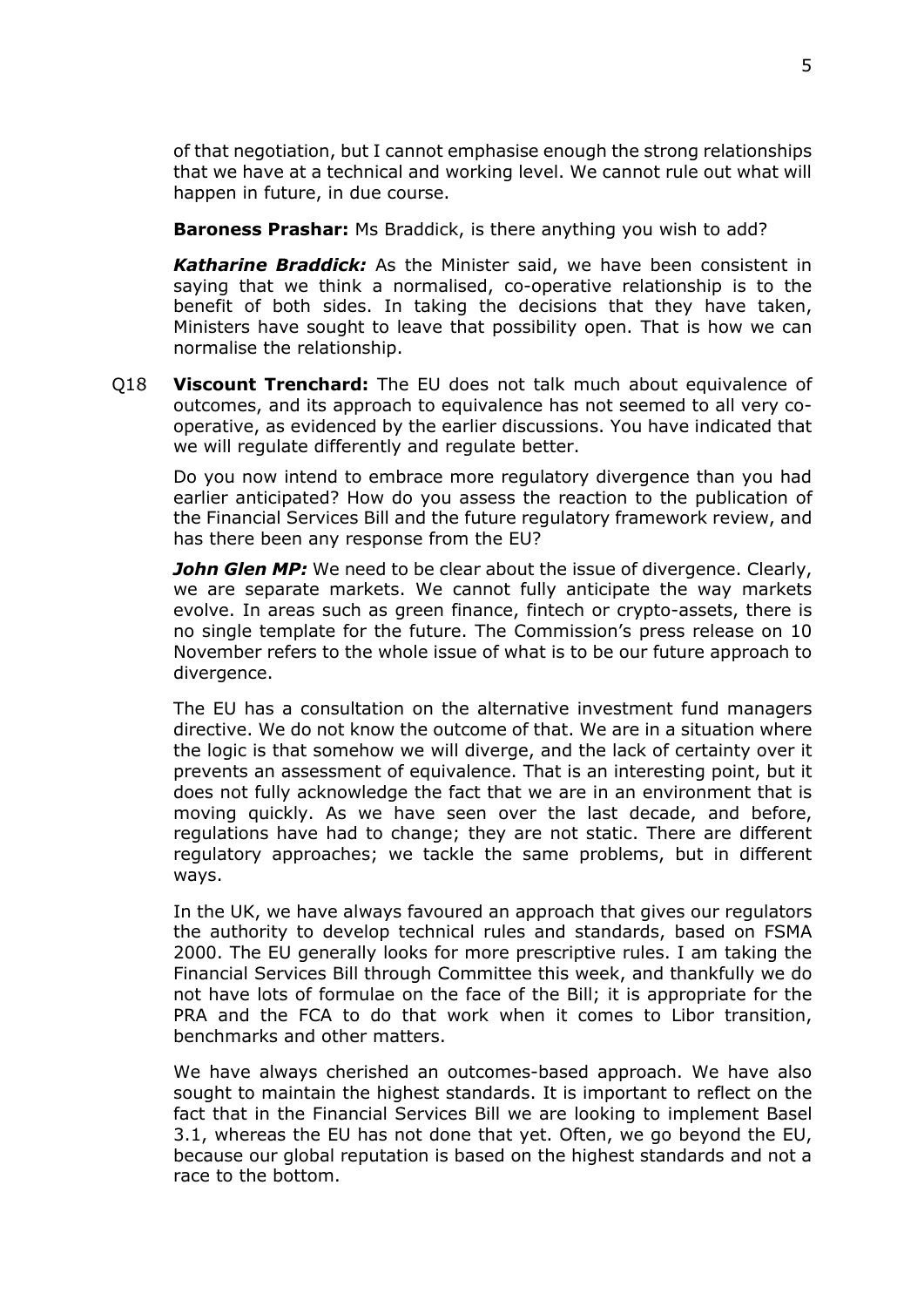of that negotiation, but I cannot emphasise enough the strong relationships that we have at a technical and working level. We cannot rule out what will happen in future, in due course.

**Baroness Prashar:** Ms Braddick, is there anything you wish to add?

*Katharine Braddick:* As the Minister said, we have been consistent in saying that we think a normalised, co-operative relationship is to the benefit of both sides. In taking the decisions that they have taken, Ministers have sought to leave that possibility open. That is how we can normalise the relationship.

Q18 **Viscount Trenchard:** The EU does not talk much about equivalence of outcomes, and its approach to equivalence has not seemed to all very cooperative, as evidenced by the earlier discussions. You have indicated that we will regulate differently and regulate better.

Do you now intend to embrace more regulatory divergence than you had earlier anticipated? How do you assess the reaction to the publication of the Financial Services Bill and the future regulatory framework review, and has there been any response from the EU?

*John Glen MP:* We need to be clear about the issue of divergence. Clearly, we are separate markets. We cannot fully anticipate the way markets evolve. In areas such as green finance, fintech or crypto-assets, there is no single template for the future. The Commission's press release on 10 November refers to the whole issue of what is to be our future approach to divergence.

The EU has a consultation on the alternative investment fund managers directive. We do not know the outcome of that. We are in a situation where the logic is that somehow we will diverge, and the lack of certainty over it prevents an assessment of equivalence. That is an interesting point, but it does not fully acknowledge the fact that we are in an environment that is moving quickly. As we have seen over the last decade, and before, regulations have had to change; they are not static. There are different regulatory approaches; we tackle the same problems, but in different ways.

In the UK, we have always favoured an approach that gives our regulators the authority to develop technical rules and standards, based on FSMA 2000. The EU generally looks for more prescriptive rules. I am taking the Financial Services Bill through Committee this week, and thankfully we do not have lots of formulae on the face of the Bill; it is appropriate for the PRA and the FCA to do that work when it comes to Libor transition, benchmarks and other matters.

We have always cherished an outcomes-based approach. We have also sought to maintain the highest standards. It is important to reflect on the fact that in the Financial Services Bill we are looking to implement Basel 3.1, whereas the EU has not done that yet. Often, we go beyond the EU, because our global reputation is based on the highest standards and not a race to the bottom.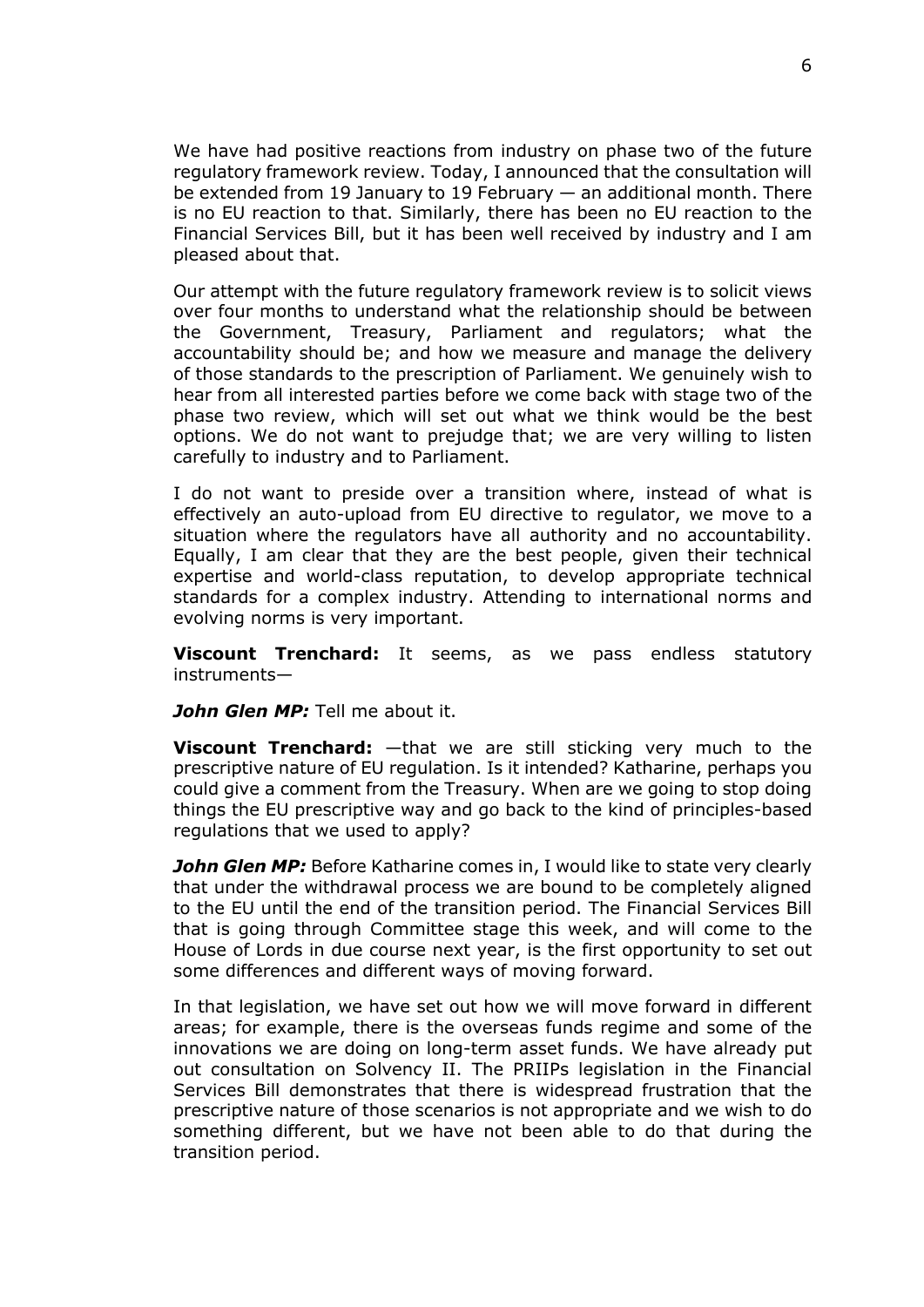We have had positive reactions from industry on phase two of the future regulatory framework review. Today, I announced that the consultation will be extended from 19 January to 19 February — an additional month. There is no EU reaction to that. Similarly, there has been no EU reaction to the Financial Services Bill, but it has been well received by industry and I am pleased about that.

Our attempt with the future regulatory framework review is to solicit views over four months to understand what the relationship should be between the Government, Treasury, Parliament and regulators; what the accountability should be; and how we measure and manage the delivery of those standards to the prescription of Parliament. We genuinely wish to hear from all interested parties before we come back with stage two of the phase two review, which will set out what we think would be the best options. We do not want to prejudge that; we are very willing to listen carefully to industry and to Parliament.

I do not want to preside over a transition where, instead of what is effectively an auto-upload from EU directive to regulator, we move to a situation where the regulators have all authority and no accountability. Equally, I am clear that they are the best people, given their technical expertise and world-class reputation, to develop appropriate technical standards for a complex industry. Attending to international norms and evolving norms is very important.

**Viscount Trenchard:** It seems, as we pass endless statutory instruments—

*John Glen MP:* Tell me about it.

**Viscount Trenchard:** —that we are still sticking very much to the prescriptive nature of EU regulation. Is it intended? Katharine, perhaps you could give a comment from the Treasury. When are we going to stop doing things the EU prescriptive way and go back to the kind of principles-based regulations that we used to apply?

**John Glen MP:** Before Katharine comes in, I would like to state very clearly that under the withdrawal process we are bound to be completely aligned to the EU until the end of the transition period. The Financial Services Bill that is going through Committee stage this week, and will come to the House of Lords in due course next year, is the first opportunity to set out some differences and different ways of moving forward.

In that legislation, we have set out how we will move forward in different areas; for example, there is the overseas funds regime and some of the innovations we are doing on long-term asset funds. We have already put out consultation on Solvency II. The PRIIPs legislation in the Financial Services Bill demonstrates that there is widespread frustration that the prescriptive nature of those scenarios is not appropriate and we wish to do something different, but we have not been able to do that during the transition period.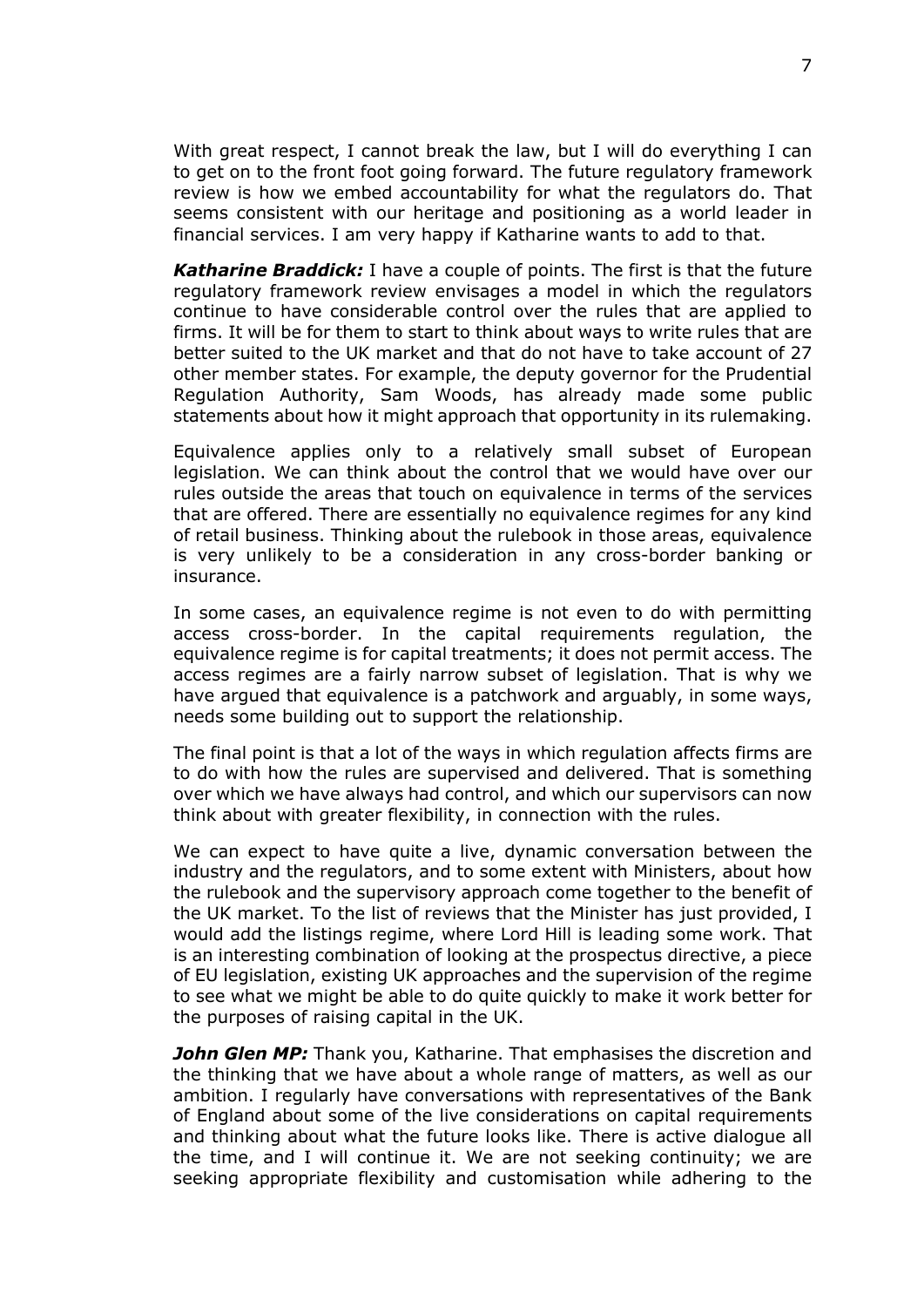With great respect, I cannot break the law, but I will do everything I can to get on to the front foot going forward. The future regulatory framework review is how we embed accountability for what the regulators do. That seems consistent with our heritage and positioning as a world leader in financial services. I am very happy if Katharine wants to add to that.

*Katharine Braddick:* I have a couple of points. The first is that the future regulatory framework review envisages a model in which the regulators continue to have considerable control over the rules that are applied to firms. It will be for them to start to think about ways to write rules that are better suited to the UK market and that do not have to take account of 27 other member states. For example, the deputy governor for the Prudential Regulation Authority, Sam Woods, has already made some public statements about how it might approach that opportunity in its rulemaking.

Equivalence applies only to a relatively small subset of European legislation. We can think about the control that we would have over our rules outside the areas that touch on equivalence in terms of the services that are offered. There are essentially no equivalence regimes for any kind of retail business. Thinking about the rulebook in those areas, equivalence is very unlikely to be a consideration in any cross-border banking or insurance.

In some cases, an equivalence regime is not even to do with permitting access cross-border. In the capital requirements regulation, the equivalence regime is for capital treatments; it does not permit access. The access regimes are a fairly narrow subset of legislation. That is why we have argued that equivalence is a patchwork and arguably, in some ways, needs some building out to support the relationship.

The final point is that a lot of the ways in which regulation affects firms are to do with how the rules are supervised and delivered. That is something over which we have always had control, and which our supervisors can now think about with greater flexibility, in connection with the rules.

We can expect to have quite a live, dynamic conversation between the industry and the regulators, and to some extent with Ministers, about how the rulebook and the supervisory approach come together to the benefit of the UK market. To the list of reviews that the Minister has just provided, I would add the listings regime, where Lord Hill is leading some work. That is an interesting combination of looking at the prospectus directive, a piece of EU legislation, existing UK approaches and the supervision of the regime to see what we might be able to do quite quickly to make it work better for the purposes of raising capital in the UK.

**John Glen MP:** Thank you, Katharine. That emphasises the discretion and the thinking that we have about a whole range of matters, as well as our ambition. I regularly have conversations with representatives of the Bank of England about some of the live considerations on capital requirements and thinking about what the future looks like. There is active dialogue all the time, and I will continue it. We are not seeking continuity; we are seeking appropriate flexibility and customisation while adhering to the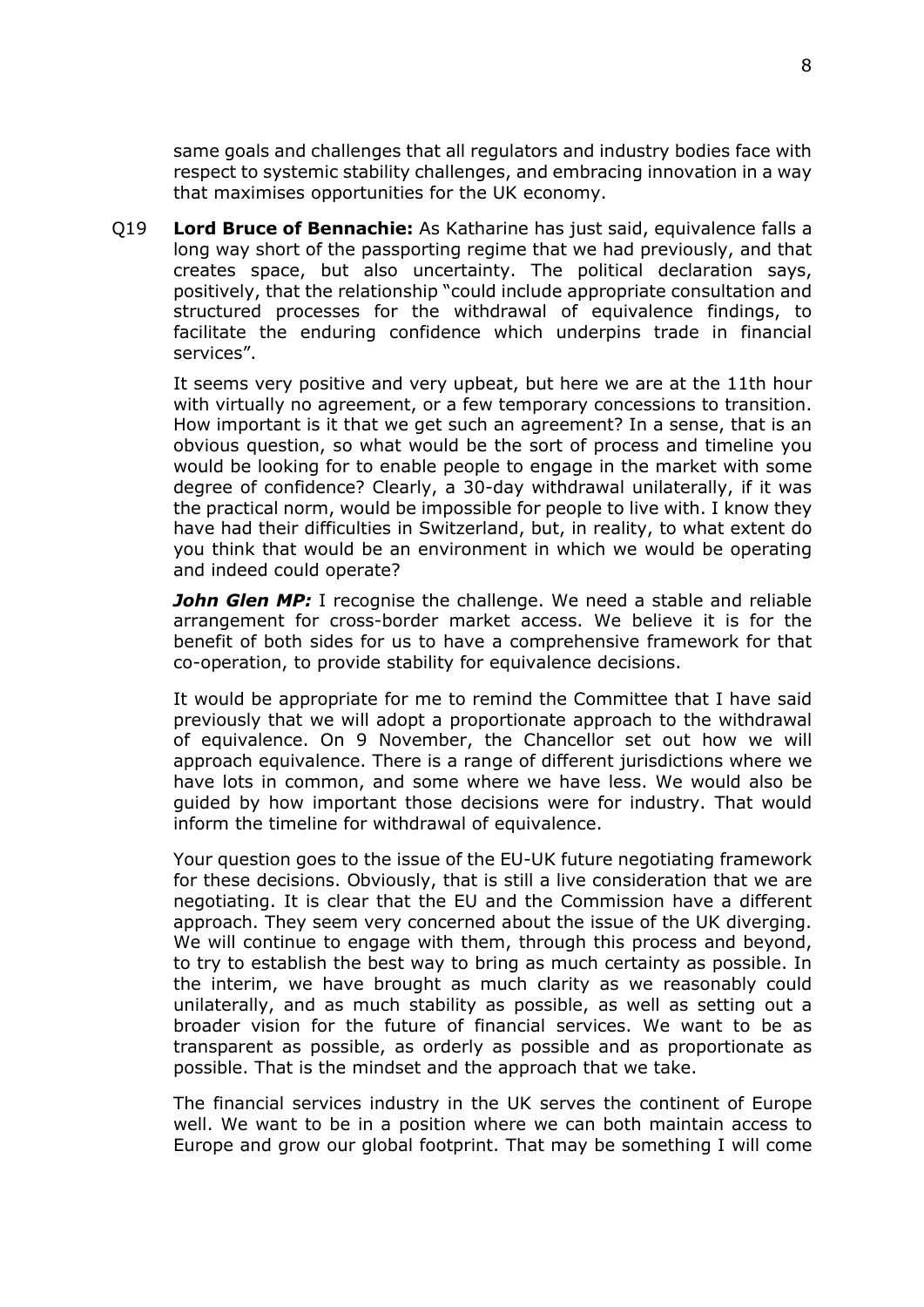same goals and challenges that all regulators and industry bodies face with respect to systemic stability challenges, and embracing innovation in a way that maximises opportunities for the UK economy.

Q19 **Lord Bruce of Bennachie:** As Katharine has just said, equivalence falls a long way short of the passporting regime that we had previously, and that creates space, but also uncertainty. The political declaration says, positively, that the relationship "could include appropriate consultation and structured processes for the withdrawal of equivalence findings, to facilitate the enduring confidence which underpins trade in financial services".

It seems very positive and very upbeat, but here we are at the 11th hour with virtually no agreement, or a few temporary concessions to transition. How important is it that we get such an agreement? In a sense, that is an obvious question, so what would be the sort of process and timeline you would be looking for to enable people to engage in the market with some degree of confidence? Clearly, a 30-day withdrawal unilaterally, if it was the practical norm, would be impossible for people to live with. I know they have had their difficulties in Switzerland, but, in reality, to what extent do you think that would be an environment in which we would be operating and indeed could operate?

*John Glen MP:* I recognise the challenge. We need a stable and reliable arrangement for cross-border market access. We believe it is for the benefit of both sides for us to have a comprehensive framework for that co-operation, to provide stability for equivalence decisions.

It would be appropriate for me to remind the Committee that I have said previously that we will adopt a proportionate approach to the withdrawal of equivalence. On 9 November, the Chancellor set out how we will approach equivalence. There is a range of different jurisdictions where we have lots in common, and some where we have less. We would also be guided by how important those decisions were for industry. That would inform the timeline for withdrawal of equivalence.

Your question goes to the issue of the EU-UK future negotiating framework for these decisions. Obviously, that is still a live consideration that we are negotiating. It is clear that the EU and the Commission have a different approach. They seem very concerned about the issue of the UK diverging. We will continue to engage with them, through this process and beyond, to try to establish the best way to bring as much certainty as possible. In the interim, we have brought as much clarity as we reasonably could unilaterally, and as much stability as possible, as well as setting out a broader vision for the future of financial services. We want to be as transparent as possible, as orderly as possible and as proportionate as possible. That is the mindset and the approach that we take.

The financial services industry in the UK serves the continent of Europe well. We want to be in a position where we can both maintain access to Europe and grow our global footprint. That may be something I will come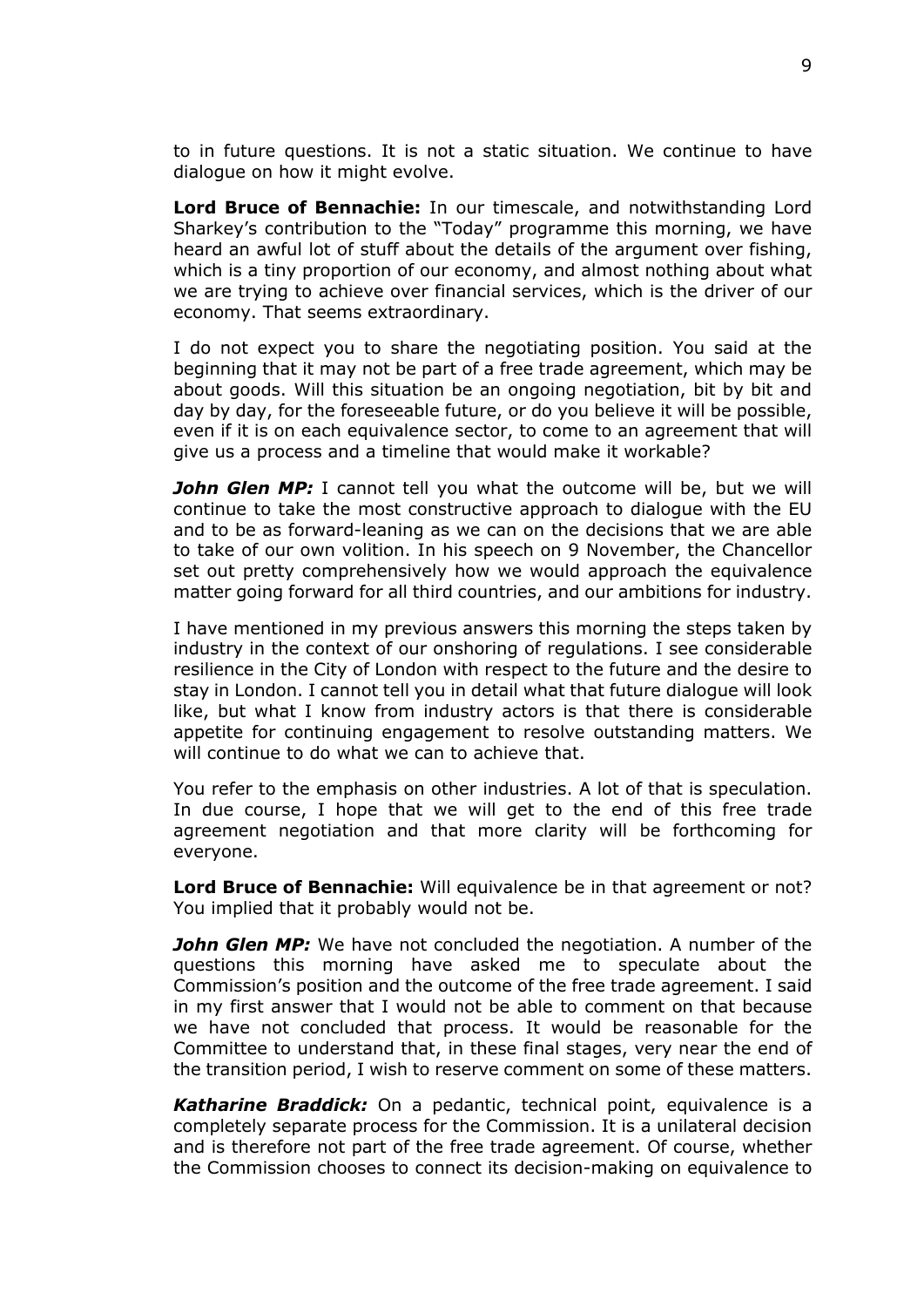to in future questions. It is not a static situation. We continue to have dialogue on how it might evolve.

**Lord Bruce of Bennachie:** In our timescale, and notwithstanding Lord Sharkey's contribution to the "Today" programme this morning, we have heard an awful lot of stuff about the details of the argument over fishing, which is a tiny proportion of our economy, and almost nothing about what we are trying to achieve over financial services, which is the driver of our economy. That seems extraordinary.

I do not expect you to share the negotiating position. You said at the beginning that it may not be part of a free trade agreement, which may be about goods. Will this situation be an ongoing negotiation, bit by bit and day by day, for the foreseeable future, or do you believe it will be possible, even if it is on each equivalence sector, to come to an agreement that will give us a process and a timeline that would make it workable?

*John Glen MP:* I cannot tell you what the outcome will be, but we will continue to take the most constructive approach to dialogue with the EU and to be as forward-leaning as we can on the decisions that we are able to take of our own volition. In his speech on 9 November, the Chancellor set out pretty comprehensively how we would approach the equivalence matter going forward for all third countries, and our ambitions for industry.

I have mentioned in my previous answers this morning the steps taken by industry in the context of our onshoring of regulations. I see considerable resilience in the City of London with respect to the future and the desire to stay in London. I cannot tell you in detail what that future dialogue will look like, but what I know from industry actors is that there is considerable appetite for continuing engagement to resolve outstanding matters. We will continue to do what we can to achieve that.

You refer to the emphasis on other industries. A lot of that is speculation. In due course, I hope that we will get to the end of this free trade agreement negotiation and that more clarity will be forthcoming for everyone.

**Lord Bruce of Bennachie:** Will equivalence be in that agreement or not? You implied that it probably would not be.

*John Glen MP:* We have not concluded the negotiation. A number of the questions this morning have asked me to speculate about the Commission's position and the outcome of the free trade agreement. I said in my first answer that I would not be able to comment on that because we have not concluded that process. It would be reasonable for the Committee to understand that, in these final stages, very near the end of the transition period, I wish to reserve comment on some of these matters.

*Katharine Braddick:* On a pedantic, technical point, equivalence is a completely separate process for the Commission. It is a unilateral decision and is therefore not part of the free trade agreement. Of course, whether the Commission chooses to connect its decision-making on equivalence to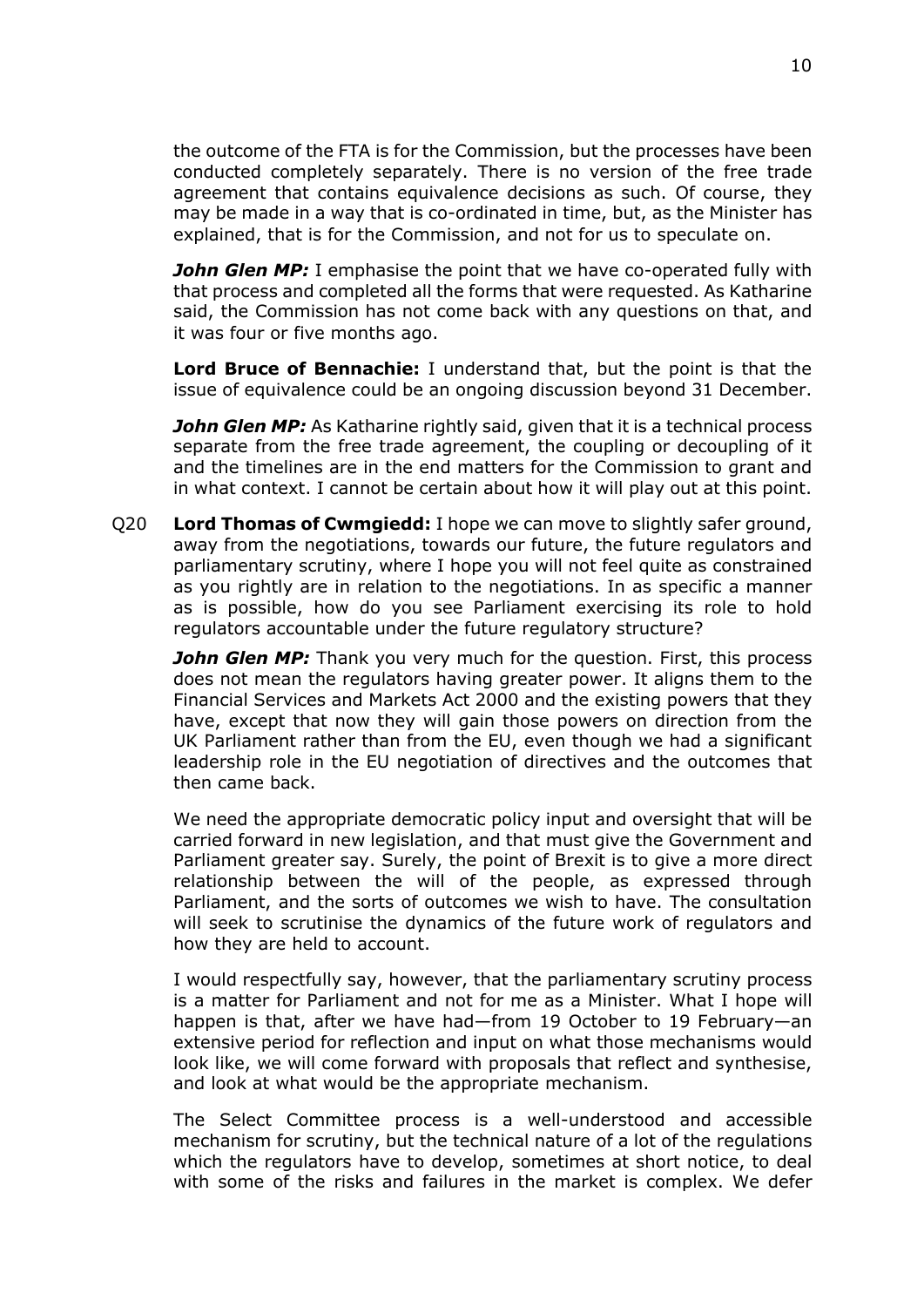the outcome of the FTA is for the Commission, but the processes have been conducted completely separately. There is no version of the free trade agreement that contains equivalence decisions as such. Of course, they may be made in a way that is co-ordinated in time, but, as the Minister has explained, that is for the Commission, and not for us to speculate on.

*John Glen MP:* I emphasise the point that we have co-operated fully with that process and completed all the forms that were requested. As Katharine said, the Commission has not come back with any questions on that, and it was four or five months ago.

**Lord Bruce of Bennachie:** I understand that, but the point is that the issue of equivalence could be an ongoing discussion beyond 31 December.

*John Glen MP:* As Katharine rightly said, given that it is a technical process separate from the free trade agreement, the coupling or decoupling of it and the timelines are in the end matters for the Commission to grant and in what context. I cannot be certain about how it will play out at this point.

Q20 **Lord Thomas of Cwmgiedd:** I hope we can move to slightly safer ground, away from the negotiations, towards our future, the future regulators and parliamentary scrutiny, where I hope you will not feel quite as constrained as you rightly are in relation to the negotiations. In as specific a manner as is possible, how do you see Parliament exercising its role to hold regulators accountable under the future regulatory structure?

*John Glen MP:* Thank you very much for the question. First, this process does not mean the regulators having greater power. It aligns them to the Financial Services and Markets Act 2000 and the existing powers that they have, except that now they will gain those powers on direction from the UK Parliament rather than from the EU, even though we had a significant leadership role in the EU negotiation of directives and the outcomes that then came back.

We need the appropriate democratic policy input and oversight that will be carried forward in new legislation, and that must give the Government and Parliament greater say. Surely, the point of Brexit is to give a more direct relationship between the will of the people, as expressed through Parliament, and the sorts of outcomes we wish to have. The consultation will seek to scrutinise the dynamics of the future work of regulators and how they are held to account.

I would respectfully say, however, that the parliamentary scrutiny process is a matter for Parliament and not for me as a Minister. What I hope will happen is that, after we have had—from 19 October to 19 February—an extensive period for reflection and input on what those mechanisms would look like, we will come forward with proposals that reflect and synthesise, and look at what would be the appropriate mechanism.

The Select Committee process is a well-understood and accessible mechanism for scrutiny, but the technical nature of a lot of the regulations which the regulators have to develop, sometimes at short notice, to deal with some of the risks and failures in the market is complex. We defer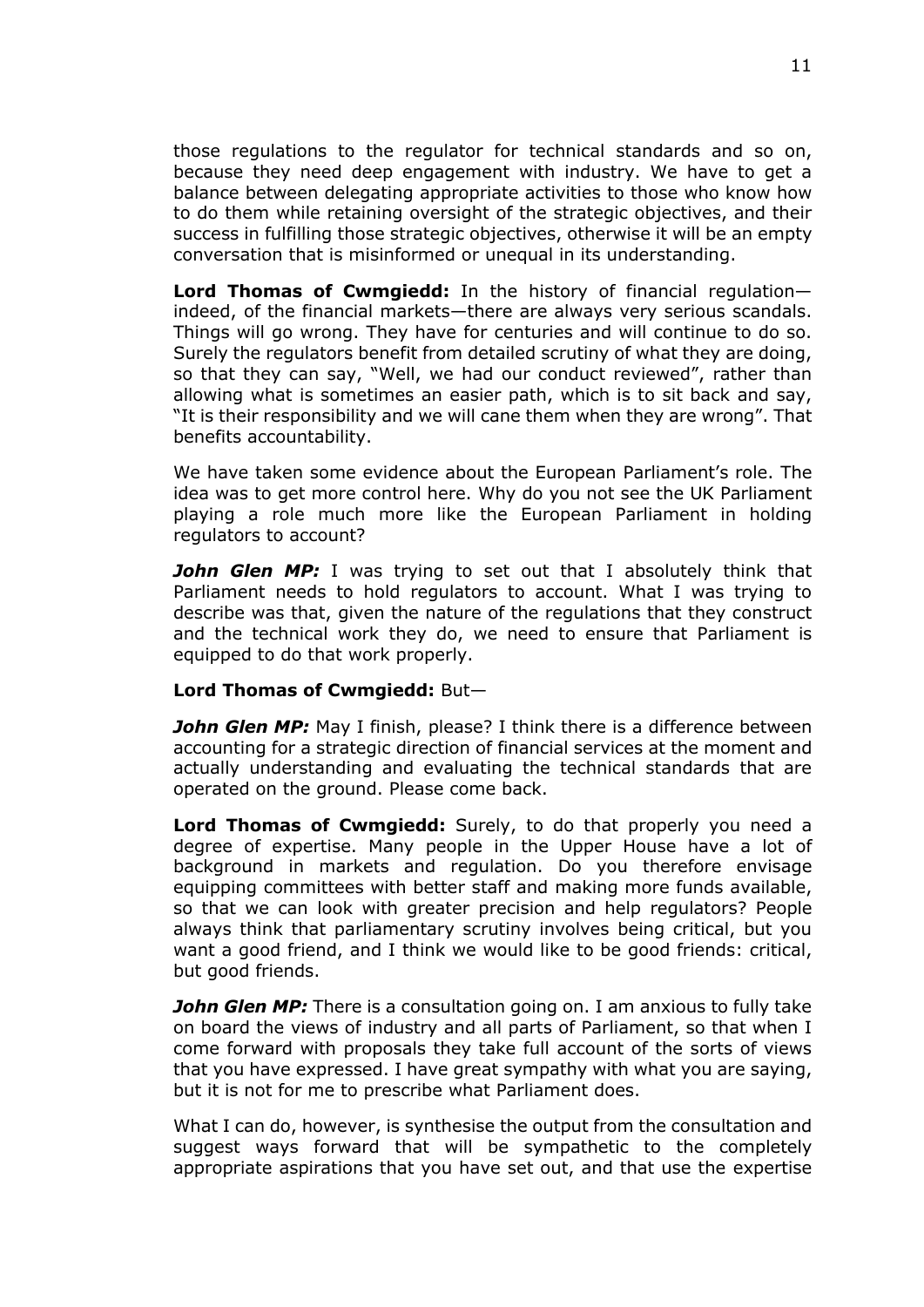those regulations to the regulator for technical standards and so on, because they need deep engagement with industry. We have to get a balance between delegating appropriate activities to those who know how to do them while retaining oversight of the strategic objectives, and their success in fulfilling those strategic objectives, otherwise it will be an empty conversation that is misinformed or unequal in its understanding.

**Lord Thomas of Cwmgiedd:** In the history of financial regulation indeed, of the financial markets—there are always very serious scandals. Things will go wrong. They have for centuries and will continue to do so. Surely the regulators benefit from detailed scrutiny of what they are doing, so that they can say, "Well, we had our conduct reviewed", rather than allowing what is sometimes an easier path, which is to sit back and say, "It is their responsibility and we will cane them when they are wrong". That benefits accountability.

We have taken some evidence about the European Parliament's role. The idea was to get more control here. Why do you not see the UK Parliament playing a role much more like the European Parliament in holding regulators to account?

*John Glen MP:* I was trying to set out that I absolutely think that Parliament needs to hold regulators to account. What I was trying to describe was that, given the nature of the regulations that they construct and the technical work they do, we need to ensure that Parliament is equipped to do that work properly.

#### **Lord Thomas of Cwmgiedd:** But—

*John Glen MP:* May I finish, please? I think there is a difference between accounting for a strategic direction of financial services at the moment and actually understanding and evaluating the technical standards that are operated on the ground. Please come back.

**Lord Thomas of Cwmgiedd:** Surely, to do that properly you need a degree of expertise. Many people in the Upper House have a lot of background in markets and regulation. Do you therefore envisage equipping committees with better staff and making more funds available, so that we can look with greater precision and help regulators? People always think that parliamentary scrutiny involves being critical, but you want a good friend, and I think we would like to be good friends: critical, but good friends.

*John Glen MP:* There is a consultation going on. I am anxious to fully take on board the views of industry and all parts of Parliament, so that when I come forward with proposals they take full account of the sorts of views that you have expressed. I have great sympathy with what you are saying, but it is not for me to prescribe what Parliament does.

What I can do, however, is synthesise the output from the consultation and suggest ways forward that will be sympathetic to the completely appropriate aspirations that you have set out, and that use the expertise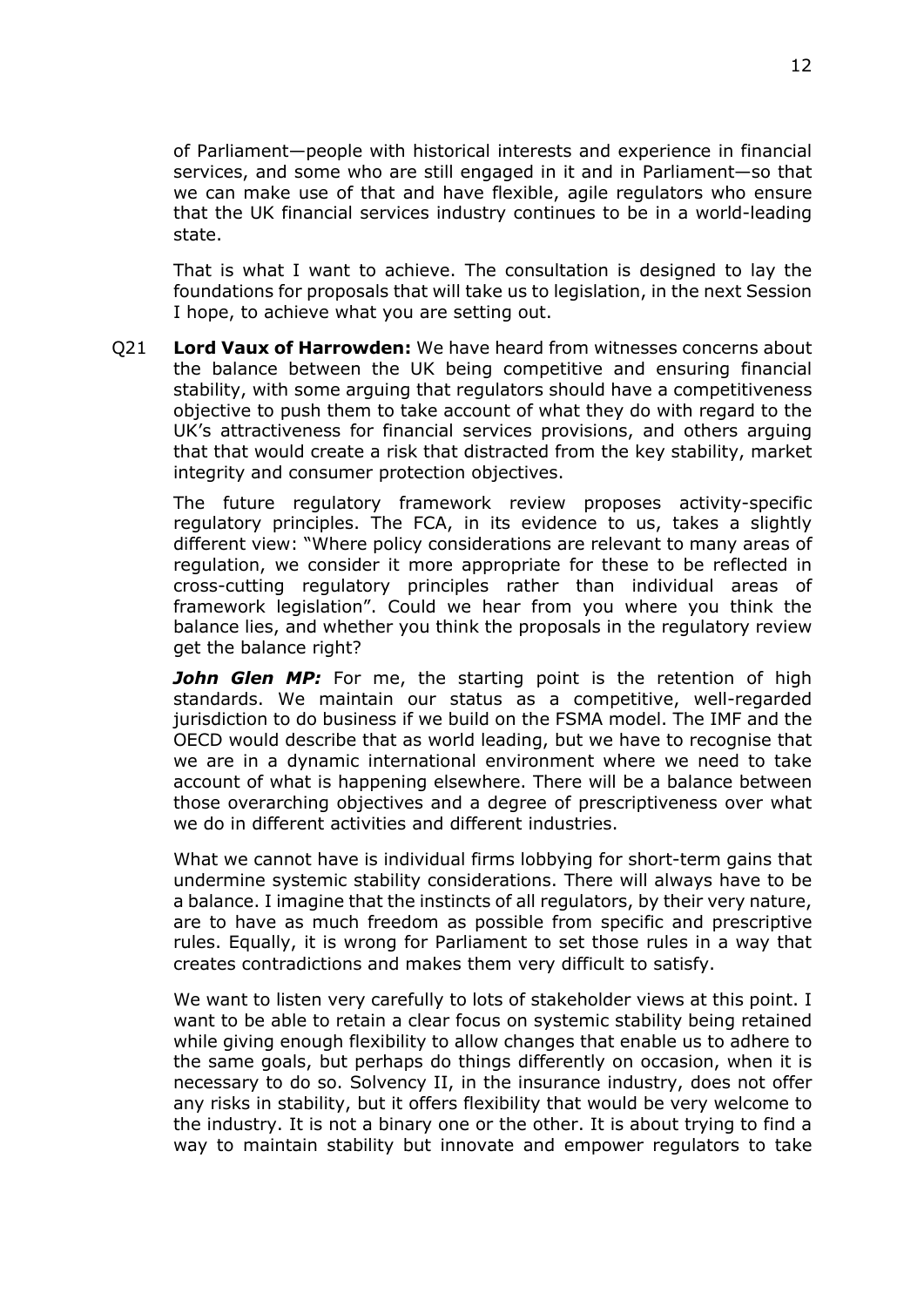of Parliament—people with historical interests and experience in financial services, and some who are still engaged in it and in Parliament—so that we can make use of that and have flexible, agile regulators who ensure that the UK financial services industry continues to be in a world-leading state.

That is what I want to achieve. The consultation is designed to lay the foundations for proposals that will take us to legislation, in the next Session I hope, to achieve what you are setting out.

Q21 **Lord Vaux of Harrowden:** We have heard from witnesses concerns about the balance between the UK being competitive and ensuring financial stability, with some arguing that regulators should have a competitiveness objective to push them to take account of what they do with regard to the UK's attractiveness for financial services provisions, and others arguing that that would create a risk that distracted from the key stability, market integrity and consumer protection objectives.

The future regulatory framework review proposes activity-specific regulatory principles. The FCA, in its evidence to us, takes a slightly different view: "Where policy considerations are relevant to many areas of regulation, we consider it more appropriate for these to be reflected in cross-cutting regulatory principles rather than individual areas of framework legislation". Could we hear from you where you think the balance lies, and whether you think the proposals in the regulatory review get the balance right?

*John Glen MP:* For me, the starting point is the retention of high standards. We maintain our status as a competitive, well-regarded jurisdiction to do business if we build on the FSMA model. The IMF and the OECD would describe that as world leading, but we have to recognise that we are in a dynamic international environment where we need to take account of what is happening elsewhere. There will be a balance between those overarching objectives and a degree of prescriptiveness over what we do in different activities and different industries.

What we cannot have is individual firms lobbying for short-term gains that undermine systemic stability considerations. There will always have to be a balance. I imagine that the instincts of all regulators, by their very nature, are to have as much freedom as possible from specific and prescriptive rules. Equally, it is wrong for Parliament to set those rules in a way that creates contradictions and makes them very difficult to satisfy.

We want to listen very carefully to lots of stakeholder views at this point. I want to be able to retain a clear focus on systemic stability being retained while giving enough flexibility to allow changes that enable us to adhere to the same goals, but perhaps do things differently on occasion, when it is necessary to do so. Solvency II, in the insurance industry, does not offer any risks in stability, but it offers flexibility that would be very welcome to the industry. It is not a binary one or the other. It is about trying to find a way to maintain stability but innovate and empower regulators to take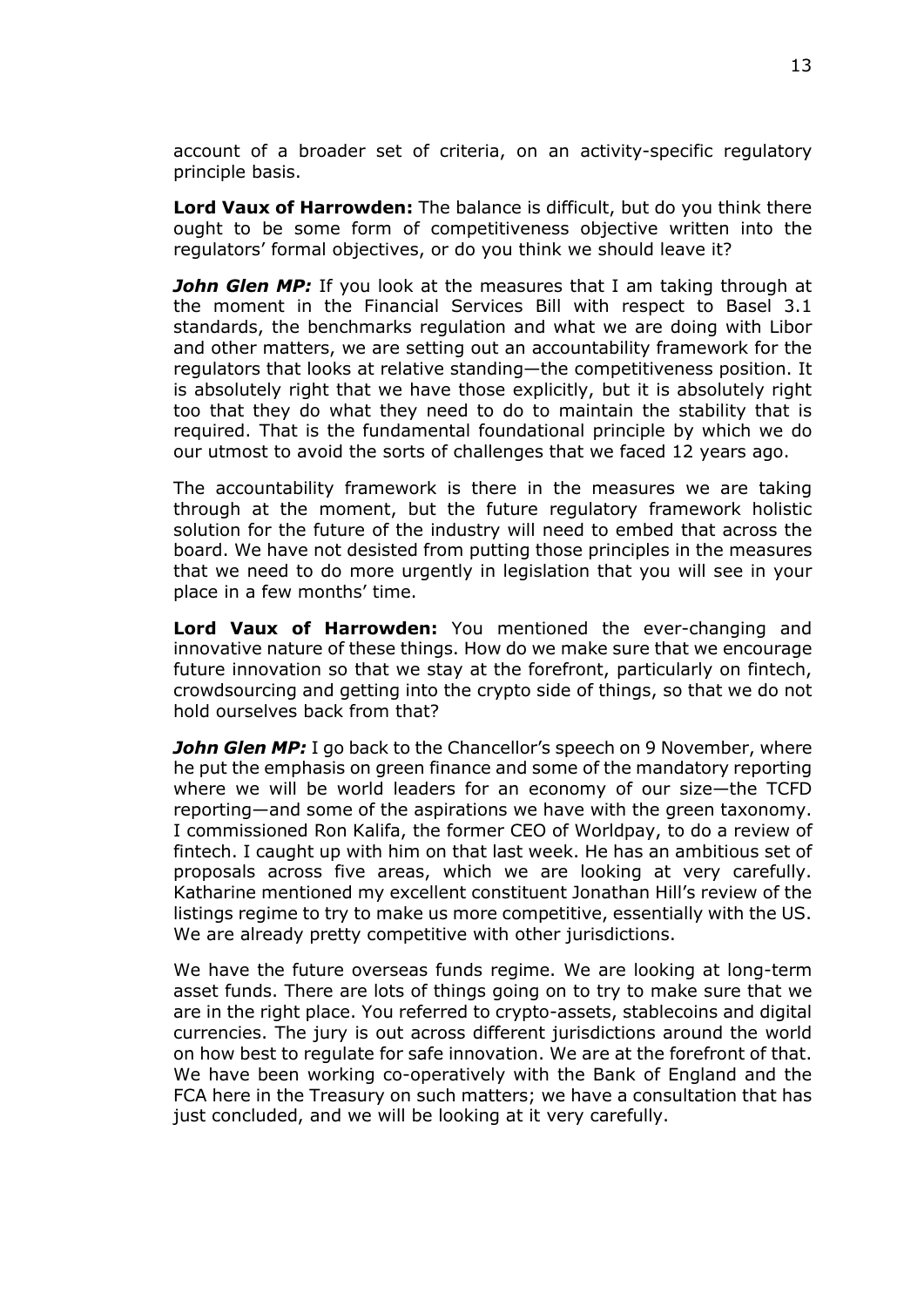account of a broader set of criteria, on an activity-specific regulatory principle basis.

**Lord Vaux of Harrowden:** The balance is difficult, but do you think there ought to be some form of competitiveness objective written into the regulators' formal objectives, or do you think we should leave it?

*John Glen MP:* If you look at the measures that I am taking through at the moment in the Financial Services Bill with respect to Basel 3.1 standards, the benchmarks regulation and what we are doing with Libor and other matters, we are setting out an accountability framework for the regulators that looks at relative standing—the competitiveness position. It is absolutely right that we have those explicitly, but it is absolutely right too that they do what they need to do to maintain the stability that is required. That is the fundamental foundational principle by which we do our utmost to avoid the sorts of challenges that we faced 12 years ago.

The accountability framework is there in the measures we are taking through at the moment, but the future regulatory framework holistic solution for the future of the industry will need to embed that across the board. We have not desisted from putting those principles in the measures that we need to do more urgently in legislation that you will see in your place in a few months' time.

**Lord Vaux of Harrowden:** You mentioned the ever-changing and innovative nature of these things. How do we make sure that we encourage future innovation so that we stay at the forefront, particularly on fintech, crowdsourcing and getting into the crypto side of things, so that we do not hold ourselves back from that?

**John Glen MP:** I go back to the Chancellor's speech on 9 November, where he put the emphasis on green finance and some of the mandatory reporting where we will be world leaders for an economy of our size—the TCFD reporting—and some of the aspirations we have with the green taxonomy. I commissioned Ron Kalifa, the former CEO of Worldpay, to do a review of fintech. I caught up with him on that last week. He has an ambitious set of proposals across five areas, which we are looking at very carefully. Katharine mentioned my excellent constituent Jonathan Hill's review of the listings regime to try to make us more competitive, essentially with the US. We are already pretty competitive with other jurisdictions.

We have the future overseas funds regime. We are looking at long-term asset funds. There are lots of things going on to try to make sure that we are in the right place. You referred to crypto-assets, stablecoins and digital currencies. The jury is out across different jurisdictions around the world on how best to regulate for safe innovation. We are at the forefront of that. We have been working co-operatively with the Bank of England and the FCA here in the Treasury on such matters; we have a consultation that has just concluded, and we will be looking at it very carefully.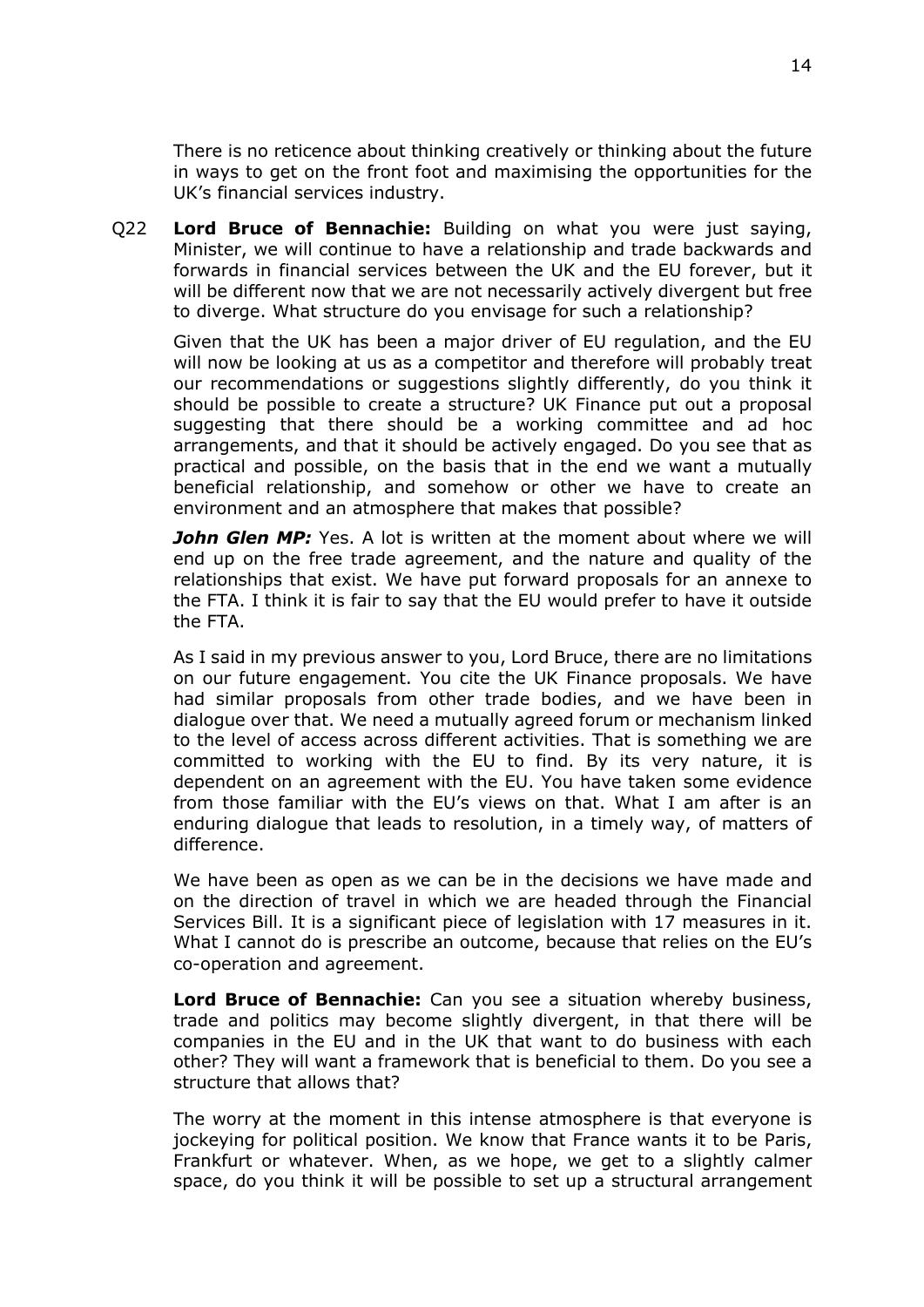There is no reticence about thinking creatively or thinking about the future in ways to get on the front foot and maximising the opportunities for the UK's financial services industry.

Q22 **Lord Bruce of Bennachie:** Building on what you were just saying, Minister, we will continue to have a relationship and trade backwards and forwards in financial services between the UK and the EU forever, but it will be different now that we are not necessarily actively divergent but free to diverge. What structure do you envisage for such a relationship?

Given that the UK has been a major driver of EU regulation, and the EU will now be looking at us as a competitor and therefore will probably treat our recommendations or suggestions slightly differently, do you think it should be possible to create a structure? UK Finance put out a proposal suggesting that there should be a working committee and ad hoc arrangements, and that it should be actively engaged. Do you see that as practical and possible, on the basis that in the end we want a mutually beneficial relationship, and somehow or other we have to create an environment and an atmosphere that makes that possible?

*John Glen MP:* Yes. A lot is written at the moment about where we will end up on the free trade agreement, and the nature and quality of the relationships that exist. We have put forward proposals for an annexe to the FTA. I think it is fair to say that the EU would prefer to have it outside the FTA.

As I said in my previous answer to you, Lord Bruce, there are no limitations on our future engagement. You cite the UK Finance proposals. We have had similar proposals from other trade bodies, and we have been in dialogue over that. We need a mutually agreed forum or mechanism linked to the level of access across different activities. That is something we are committed to working with the EU to find. By its very nature, it is dependent on an agreement with the EU. You have taken some evidence from those familiar with the EU's views on that. What I am after is an enduring dialogue that leads to resolution, in a timely way, of matters of difference.

We have been as open as we can be in the decisions we have made and on the direction of travel in which we are headed through the Financial Services Bill. It is a significant piece of legislation with 17 measures in it. What I cannot do is prescribe an outcome, because that relies on the EU's co-operation and agreement.

**Lord Bruce of Bennachie:** Can you see a situation whereby business, trade and politics may become slightly divergent, in that there will be companies in the EU and in the UK that want to do business with each other? They will want a framework that is beneficial to them. Do you see a structure that allows that?

The worry at the moment in this intense atmosphere is that everyone is jockeying for political position. We know that France wants it to be Paris, Frankfurt or whatever. When, as we hope, we get to a slightly calmer space, do you think it will be possible to set up a structural arrangement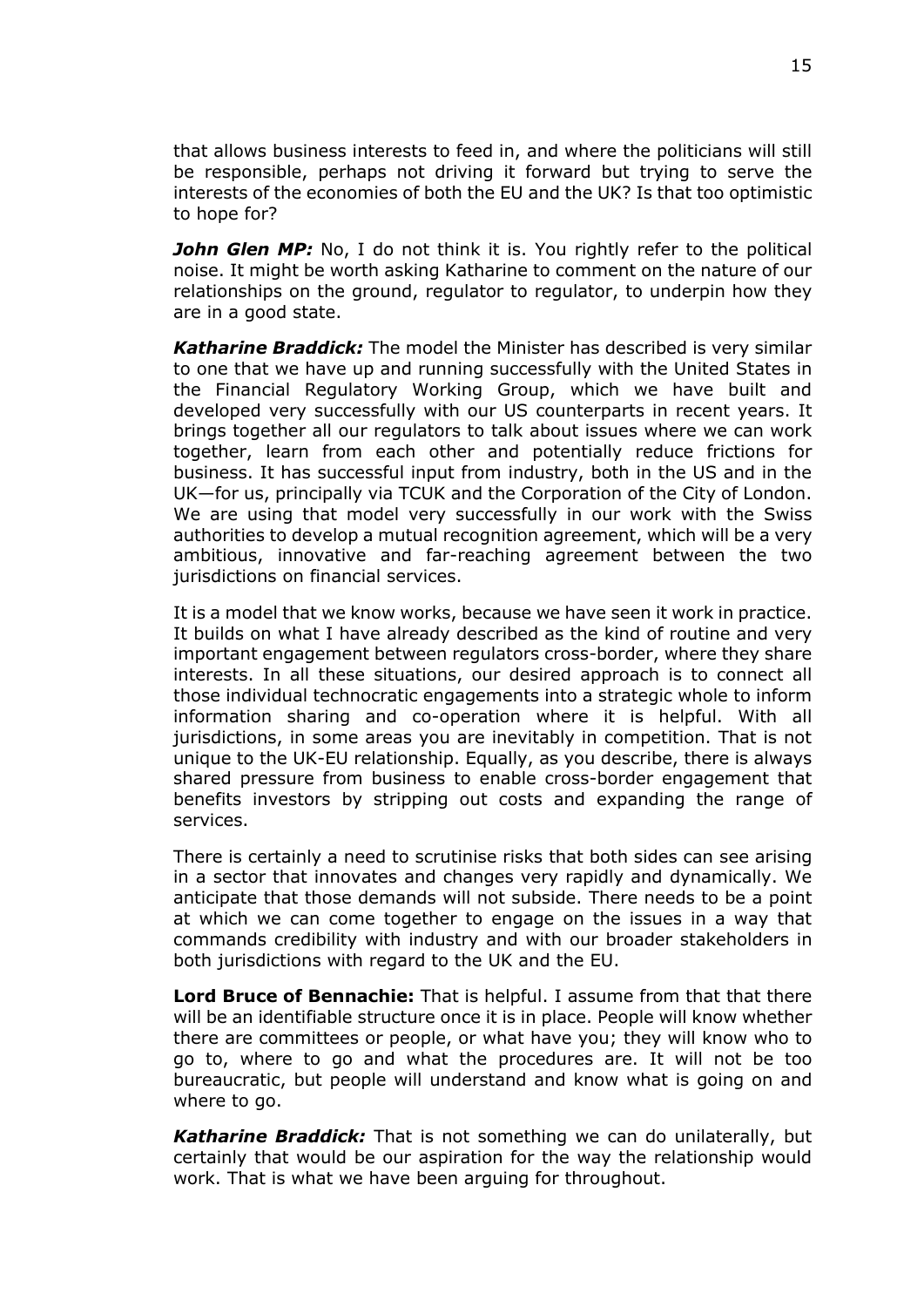that allows business interests to feed in, and where the politicians will still be responsible, perhaps not driving it forward but trying to serve the interests of the economies of both the EU and the UK? Is that too optimistic to hope for?

**John Glen MP:** No, I do not think it is. You rightly refer to the political noise. It might be worth asking Katharine to comment on the nature of our relationships on the ground, regulator to regulator, to underpin how they are in a good state.

*Katharine Braddick:* The model the Minister has described is very similar to one that we have up and running successfully with the United States in the Financial Regulatory Working Group, which we have built and developed very successfully with our US counterparts in recent years. It brings together all our regulators to talk about issues where we can work together, learn from each other and potentially reduce frictions for business. It has successful input from industry, both in the US and in the UK—for us, principally via TCUK and the Corporation of the City of London. We are using that model very successfully in our work with the Swiss authorities to develop a mutual recognition agreement, which will be a very ambitious, innovative and far-reaching agreement between the two jurisdictions on financial services.

It is a model that we know works, because we have seen it work in practice. It builds on what I have already described as the kind of routine and very important engagement between regulators cross-border, where they share interests. In all these situations, our desired approach is to connect all those individual technocratic engagements into a strategic whole to inform information sharing and co-operation where it is helpful. With all jurisdictions, in some areas you are inevitably in competition. That is not unique to the UK-EU relationship. Equally, as you describe, there is always shared pressure from business to enable cross-border engagement that benefits investors by stripping out costs and expanding the range of services.

There is certainly a need to scrutinise risks that both sides can see arising in a sector that innovates and changes very rapidly and dynamically. We anticipate that those demands will not subside. There needs to be a point at which we can come together to engage on the issues in a way that commands credibility with industry and with our broader stakeholders in both jurisdictions with regard to the UK and the EU.

**Lord Bruce of Bennachie:** That is helpful. I assume from that that there will be an identifiable structure once it is in place. People will know whether there are committees or people, or what have you; they will know who to go to, where to go and what the procedures are. It will not be too bureaucratic, but people will understand and know what is going on and where to go.

*Katharine Braddick:* That is not something we can do unilaterally, but certainly that would be our aspiration for the way the relationship would work. That is what we have been arguing for throughout.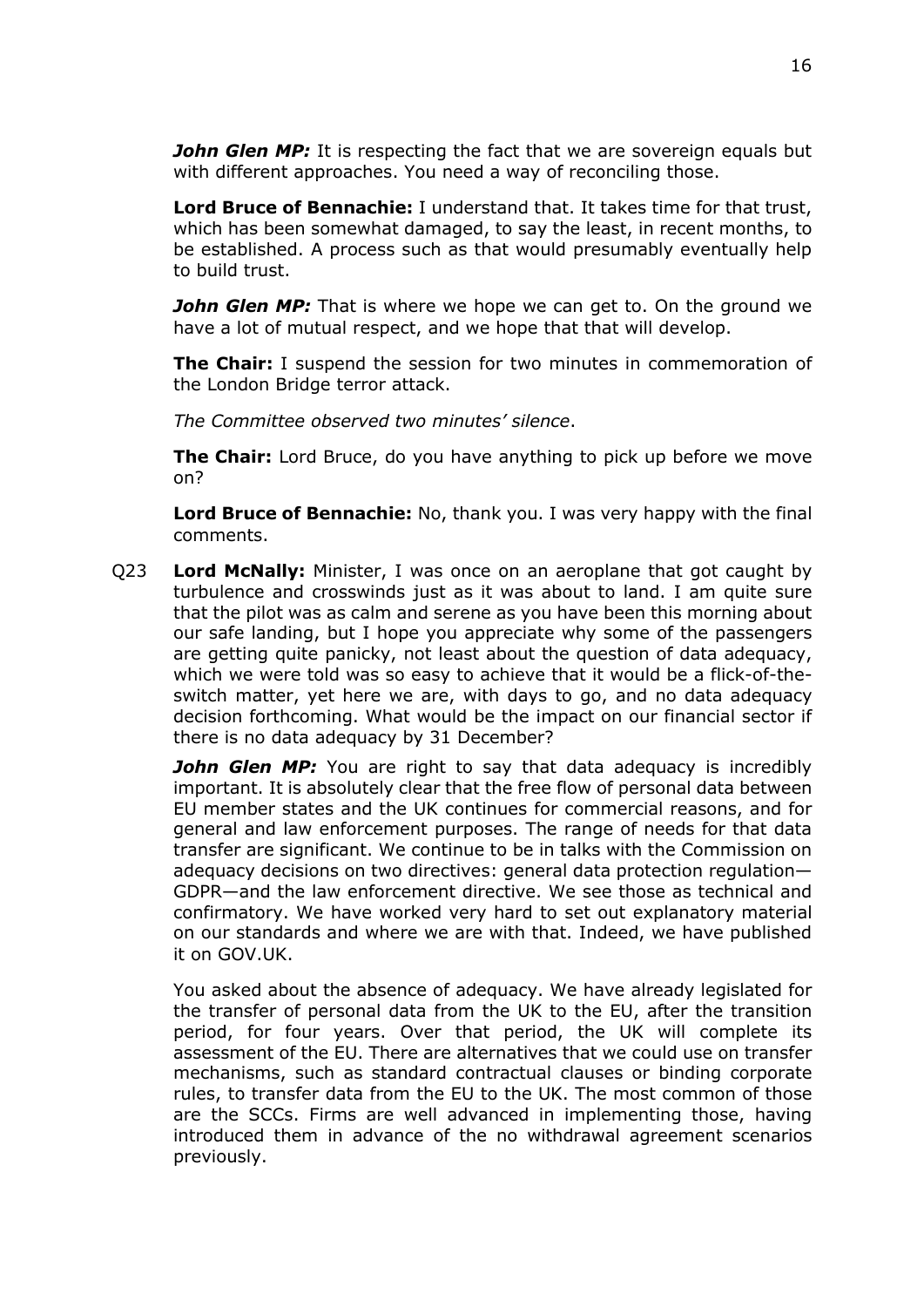*John Glen MP:* It is respecting the fact that we are sovereign equals but with different approaches. You need a way of reconciling those.

**Lord Bruce of Bennachie:** I understand that. It takes time for that trust, which has been somewhat damaged, to say the least, in recent months, to be established. A process such as that would presumably eventually help to build trust.

*John Glen MP:* That is where we hope we can get to. On the ground we have a lot of mutual respect, and we hope that that will develop.

**The Chair:** I suspend the session for two minutes in commemoration of the London Bridge terror attack.

*The Committee observed two minutes' silence*.

**The Chair:** Lord Bruce, do you have anything to pick up before we move on?

**Lord Bruce of Bennachie:** No, thank you. I was very happy with the final comments.

Q23 **Lord McNally:** Minister, I was once on an aeroplane that got caught by turbulence and crosswinds just as it was about to land. I am quite sure that the pilot was as calm and serene as you have been this morning about our safe landing, but I hope you appreciate why some of the passengers are getting quite panicky, not least about the question of data adequacy, which we were told was so easy to achieve that it would be a flick-of-theswitch matter, yet here we are, with days to go, and no data adequacy decision forthcoming. What would be the impact on our financial sector if there is no data adequacy by 31 December?

*John Glen MP:* You are right to say that data adequacy is incredibly important. It is absolutely clear that the free flow of personal data between EU member states and the UK continues for commercial reasons, and for general and law enforcement purposes. The range of needs for that data transfer are significant. We continue to be in talks with the Commission on adequacy decisions on two directives: general data protection regulation— GDPR—and the law enforcement directive. We see those as technical and confirmatory. We have worked very hard to set out explanatory material on our standards and where we are with that. Indeed, we have published it on GOV.UK.

You asked about the absence of adequacy. We have already legislated for the transfer of personal data from the UK to the EU, after the transition period, for four years. Over that period, the UK will complete its assessment of the EU. There are alternatives that we could use on transfer mechanisms, such as standard contractual clauses or binding corporate rules, to transfer data from the EU to the UK. The most common of those are the SCCs. Firms are well advanced in implementing those, having introduced them in advance of the no withdrawal agreement scenarios previously.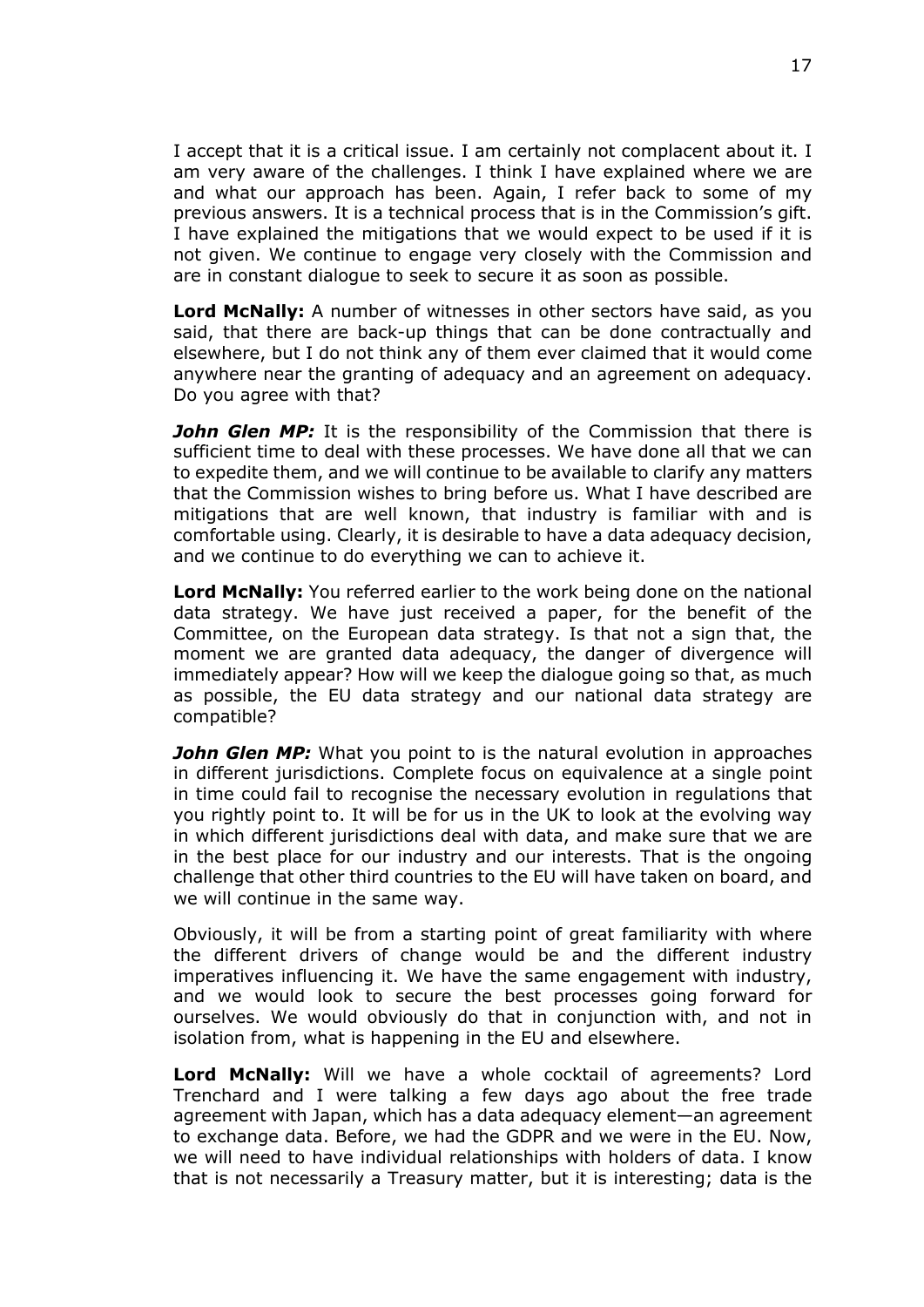I accept that it is a critical issue. I am certainly not complacent about it. I am very aware of the challenges. I think I have explained where we are and what our approach has been. Again, I refer back to some of my previous answers. It is a technical process that is in the Commission's gift. I have explained the mitigations that we would expect to be used if it is not given. We continue to engage very closely with the Commission and are in constant dialogue to seek to secure it as soon as possible.

**Lord McNally:** A number of witnesses in other sectors have said, as you said, that there are back-up things that can be done contractually and elsewhere, but I do not think any of them ever claimed that it would come anywhere near the granting of adequacy and an agreement on adequacy. Do you agree with that?

*John Glen MP:* It is the responsibility of the Commission that there is sufficient time to deal with these processes. We have done all that we can to expedite them, and we will continue to be available to clarify any matters that the Commission wishes to bring before us. What I have described are mitigations that are well known, that industry is familiar with and is comfortable using. Clearly, it is desirable to have a data adequacy decision, and we continue to do everything we can to achieve it.

**Lord McNally:** You referred earlier to the work being done on the national data strategy. We have just received a paper, for the benefit of the Committee, on the European data strategy. Is that not a sign that, the moment we are granted data adequacy, the danger of divergence will immediately appear? How will we keep the dialogue going so that, as much as possible, the EU data strategy and our national data strategy are compatible?

*John Glen MP:* What you point to is the natural evolution in approaches in different jurisdictions. Complete focus on equivalence at a single point in time could fail to recognise the necessary evolution in regulations that you rightly point to. It will be for us in the UK to look at the evolving way in which different jurisdictions deal with data, and make sure that we are in the best place for our industry and our interests. That is the ongoing challenge that other third countries to the EU will have taken on board, and we will continue in the same way.

Obviously, it will be from a starting point of great familiarity with where the different drivers of change would be and the different industry imperatives influencing it. We have the same engagement with industry, and we would look to secure the best processes going forward for ourselves. We would obviously do that in conjunction with, and not in isolation from, what is happening in the EU and elsewhere.

**Lord McNally:** Will we have a whole cocktail of agreements? Lord Trenchard and I were talking a few days ago about the free trade agreement with Japan, which has a data adequacy element—an agreement to exchange data. Before, we had the GDPR and we were in the EU. Now, we will need to have individual relationships with holders of data. I know that is not necessarily a Treasury matter, but it is interesting; data is the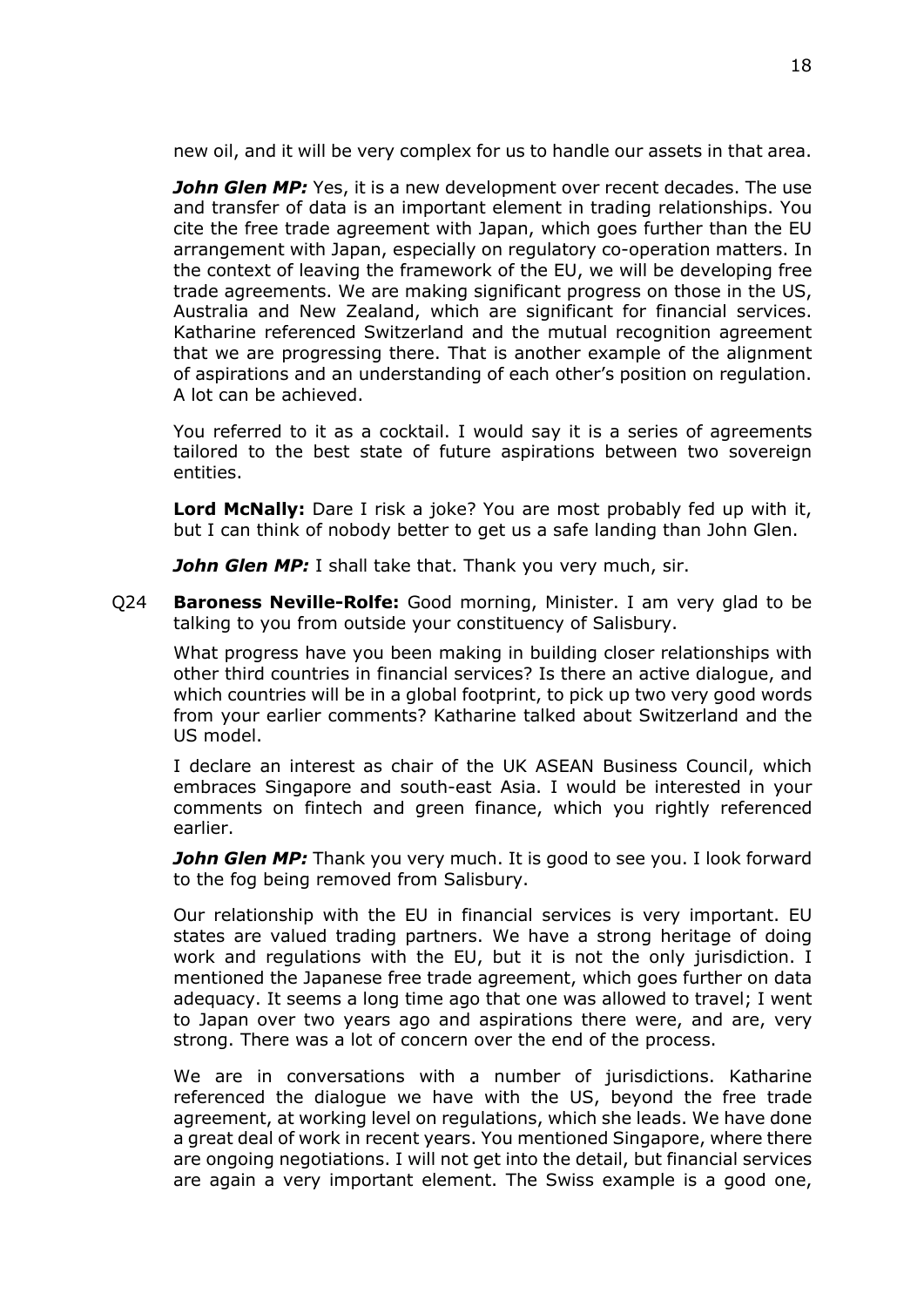new oil, and it will be very complex for us to handle our assets in that area.

*John Glen MP:* Yes, it is a new development over recent decades. The use and transfer of data is an important element in trading relationships. You cite the free trade agreement with Japan, which goes further than the EU arrangement with Japan, especially on regulatory co-operation matters. In the context of leaving the framework of the EU, we will be developing free trade agreements. We are making significant progress on those in the US, Australia and New Zealand, which are significant for financial services. Katharine referenced Switzerland and the mutual recognition agreement that we are progressing there. That is another example of the alignment of aspirations and an understanding of each other's position on regulation. A lot can be achieved.

You referred to it as a cocktail. I would say it is a series of agreements tailored to the best state of future aspirations between two sovereign entities.

**Lord McNally:** Dare I risk a joke? You are most probably fed up with it, but I can think of nobody better to get us a safe landing than John Glen.

*John Glen MP:* I shall take that. Thank you very much, sir.

Q24 **Baroness Neville-Rolfe:** Good morning, Minister. I am very glad to be talking to you from outside your constituency of Salisbury.

What progress have you been making in building closer relationships with other third countries in financial services? Is there an active dialogue, and which countries will be in a global footprint, to pick up two very good words from your earlier comments? Katharine talked about Switzerland and the US model.

I declare an interest as chair of the UK ASEAN Business Council, which embraces Singapore and south-east Asia. I would be interested in your comments on fintech and green finance, which you rightly referenced earlier.

*John Glen MP:* Thank you very much. It is good to see you. I look forward to the fog being removed from Salisbury.

Our relationship with the EU in financial services is very important. EU states are valued trading partners. We have a strong heritage of doing work and regulations with the EU, but it is not the only jurisdiction. I mentioned the Japanese free trade agreement, which goes further on data adequacy. It seems a long time ago that one was allowed to travel; I went to Japan over two years ago and aspirations there were, and are, very strong. There was a lot of concern over the end of the process.

We are in conversations with a number of jurisdictions. Katharine referenced the dialogue we have with the US, beyond the free trade agreement, at working level on regulations, which she leads. We have done a great deal of work in recent years. You mentioned Singapore, where there are ongoing negotiations. I will not get into the detail, but financial services are again a very important element. The Swiss example is a good one,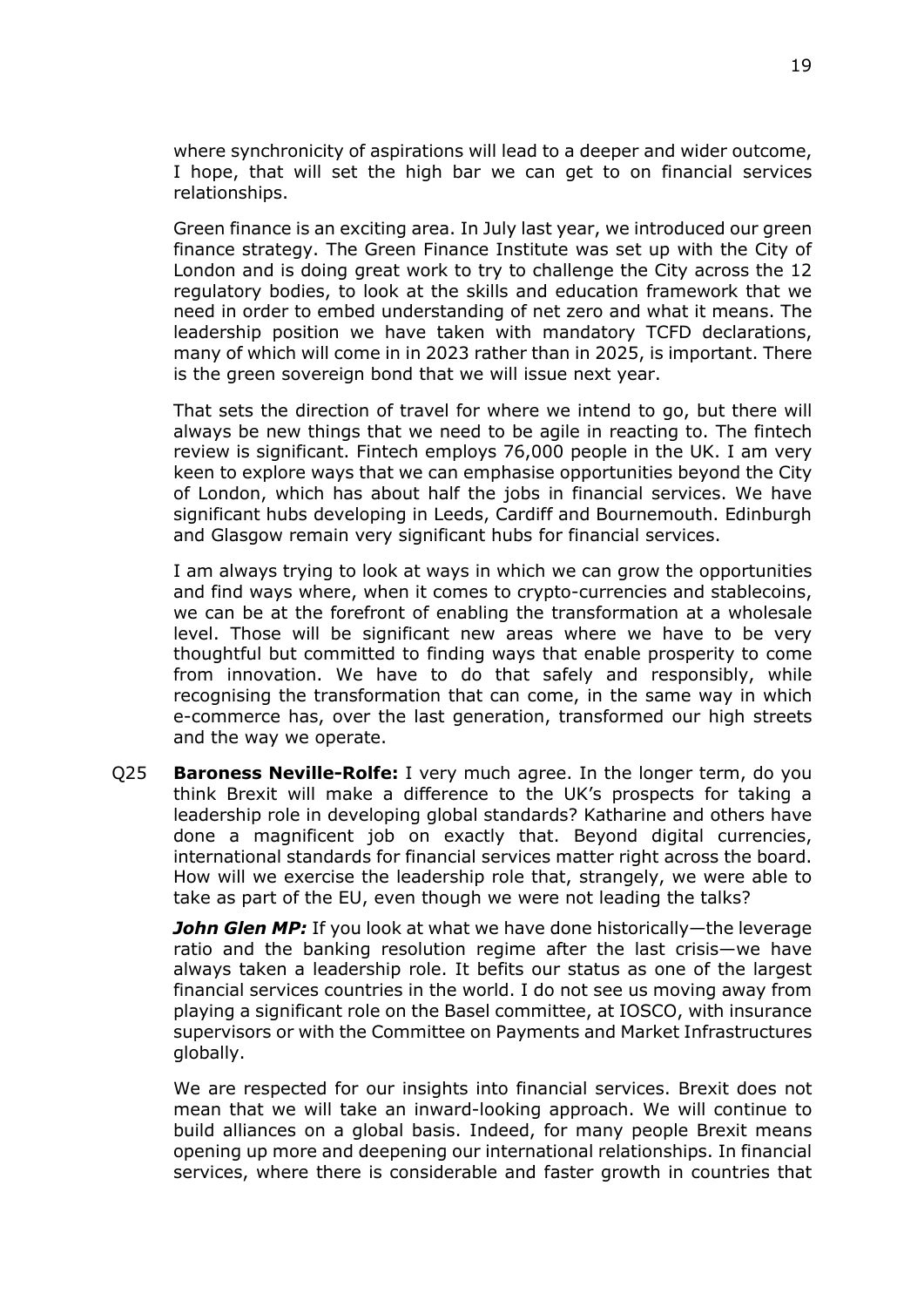where synchronicity of aspirations will lead to a deeper and wider outcome, I hope, that will set the high bar we can get to on financial services relationships.

Green finance is an exciting area. In July last year, we introduced our green finance strategy. The Green Finance Institute was set up with the City of London and is doing great work to try to challenge the City across the 12 regulatory bodies, to look at the skills and education framework that we need in order to embed understanding of net zero and what it means. The leadership position we have taken with mandatory TCFD declarations, many of which will come in in 2023 rather than in 2025, is important. There is the green sovereign bond that we will issue next year.

That sets the direction of travel for where we intend to go, but there will always be new things that we need to be agile in reacting to. The fintech review is significant. Fintech employs 76,000 people in the UK. I am very keen to explore ways that we can emphasise opportunities beyond the City of London, which has about half the jobs in financial services. We have significant hubs developing in Leeds, Cardiff and Bournemouth. Edinburgh and Glasgow remain very significant hubs for financial services.

I am always trying to look at ways in which we can grow the opportunities and find ways where, when it comes to crypto-currencies and stablecoins, we can be at the forefront of enabling the transformation at a wholesale level. Those will be significant new areas where we have to be very thoughtful but committed to finding ways that enable prosperity to come from innovation. We have to do that safely and responsibly, while recognising the transformation that can come, in the same way in which e-commerce has, over the last generation, transformed our high streets and the way we operate.

Q25 **Baroness Neville-Rolfe:** I very much agree. In the longer term, do you think Brexit will make a difference to the UK's prospects for taking a leadership role in developing global standards? Katharine and others have done a magnificent job on exactly that. Beyond digital currencies, international standards for financial services matter right across the board. How will we exercise the leadership role that, strangely, we were able to take as part of the EU, even though we were not leading the talks?

*John Glen MP:* If you look at what we have done historically—the leverage ratio and the banking resolution regime after the last crisis—we have always taken a leadership role. It befits our status as one of the largest financial services countries in the world. I do not see us moving away from playing a significant role on the Basel committee, at IOSCO, with insurance supervisors or with the Committee on Payments and Market Infrastructures globally.

We are respected for our insights into financial services. Brexit does not mean that we will take an inward-looking approach. We will continue to build alliances on a global basis. Indeed, for many people Brexit means opening up more and deepening our international relationships. In financial services, where there is considerable and faster growth in countries that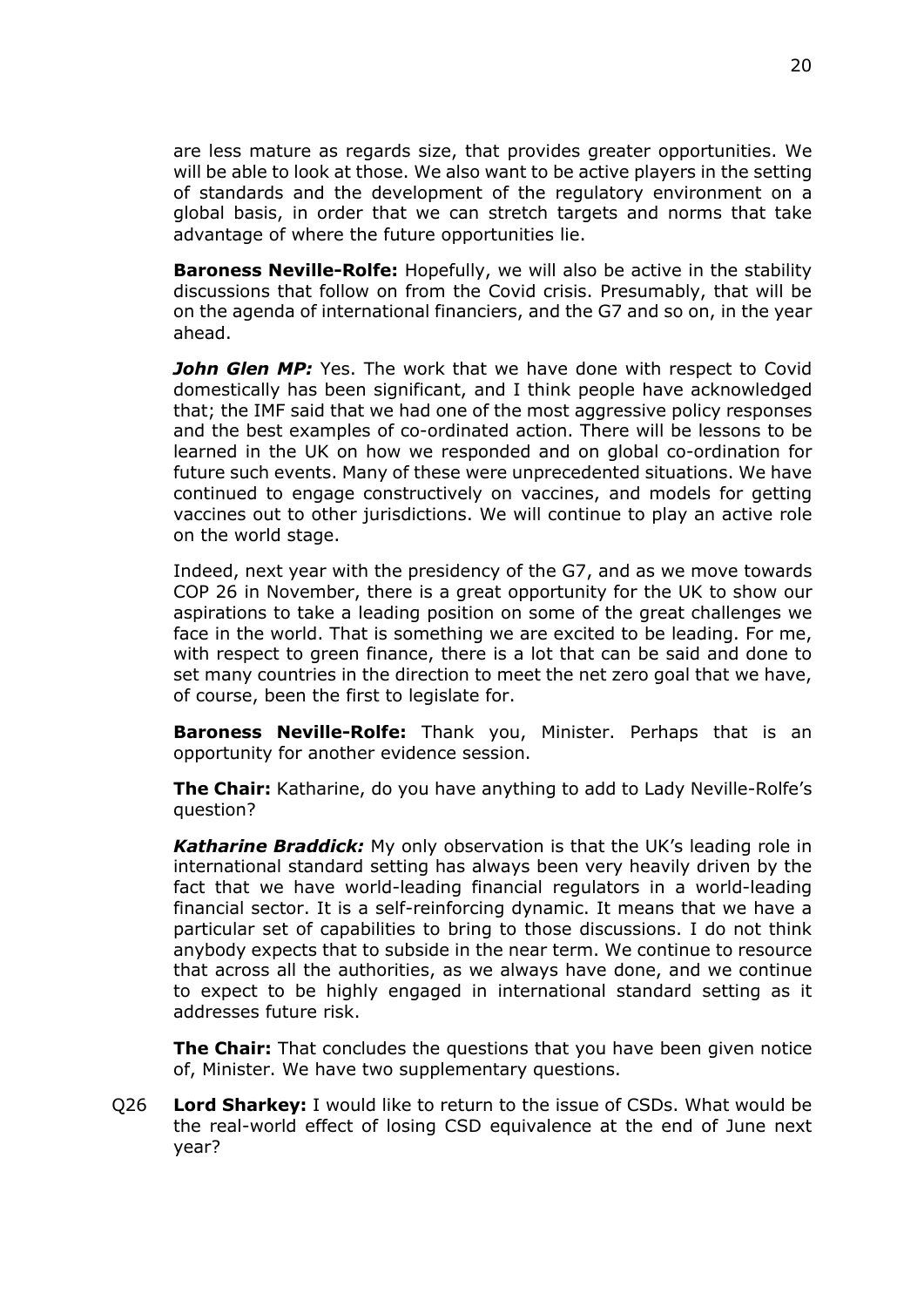are less mature as regards size, that provides greater opportunities. We will be able to look at those. We also want to be active players in the setting of standards and the development of the regulatory environment on a global basis, in order that we can stretch targets and norms that take advantage of where the future opportunities lie.

**Baroness Neville-Rolfe:** Hopefully, we will also be active in the stability discussions that follow on from the Covid crisis. Presumably, that will be on the agenda of international financiers, and the G7 and so on, in the year ahead.

**John Glen MP:** Yes. The work that we have done with respect to Covid domestically has been significant, and I think people have acknowledged that; the IMF said that we had one of the most aggressive policy responses and the best examples of co-ordinated action. There will be lessons to be learned in the UK on how we responded and on global co-ordination for future such events. Many of these were unprecedented situations. We have continued to engage constructively on vaccines, and models for getting vaccines out to other jurisdictions. We will continue to play an active role on the world stage.

Indeed, next year with the presidency of the G7, and as we move towards COP 26 in November, there is a great opportunity for the UK to show our aspirations to take a leading position on some of the great challenges we face in the world. That is something we are excited to be leading. For me, with respect to green finance, there is a lot that can be said and done to set many countries in the direction to meet the net zero goal that we have, of course, been the first to legislate for.

**Baroness Neville-Rolfe:** Thank you, Minister. Perhaps that is an opportunity for another evidence session.

**The Chair:** Katharine, do you have anything to add to Lady Neville-Rolfe's question?

*Katharine Braddick:* My only observation is that the UK's leading role in international standard setting has always been very heavily driven by the fact that we have world-leading financial regulators in a world-leading financial sector. It is a self-reinforcing dynamic. It means that we have a particular set of capabilities to bring to those discussions. I do not think anybody expects that to subside in the near term. We continue to resource that across all the authorities, as we always have done, and we continue to expect to be highly engaged in international standard setting as it addresses future risk.

**The Chair:** That concludes the questions that you have been given notice of, Minister. We have two supplementary questions.

Q26 **Lord Sharkey:** I would like to return to the issue of CSDs. What would be the real-world effect of losing CSD equivalence at the end of June next year?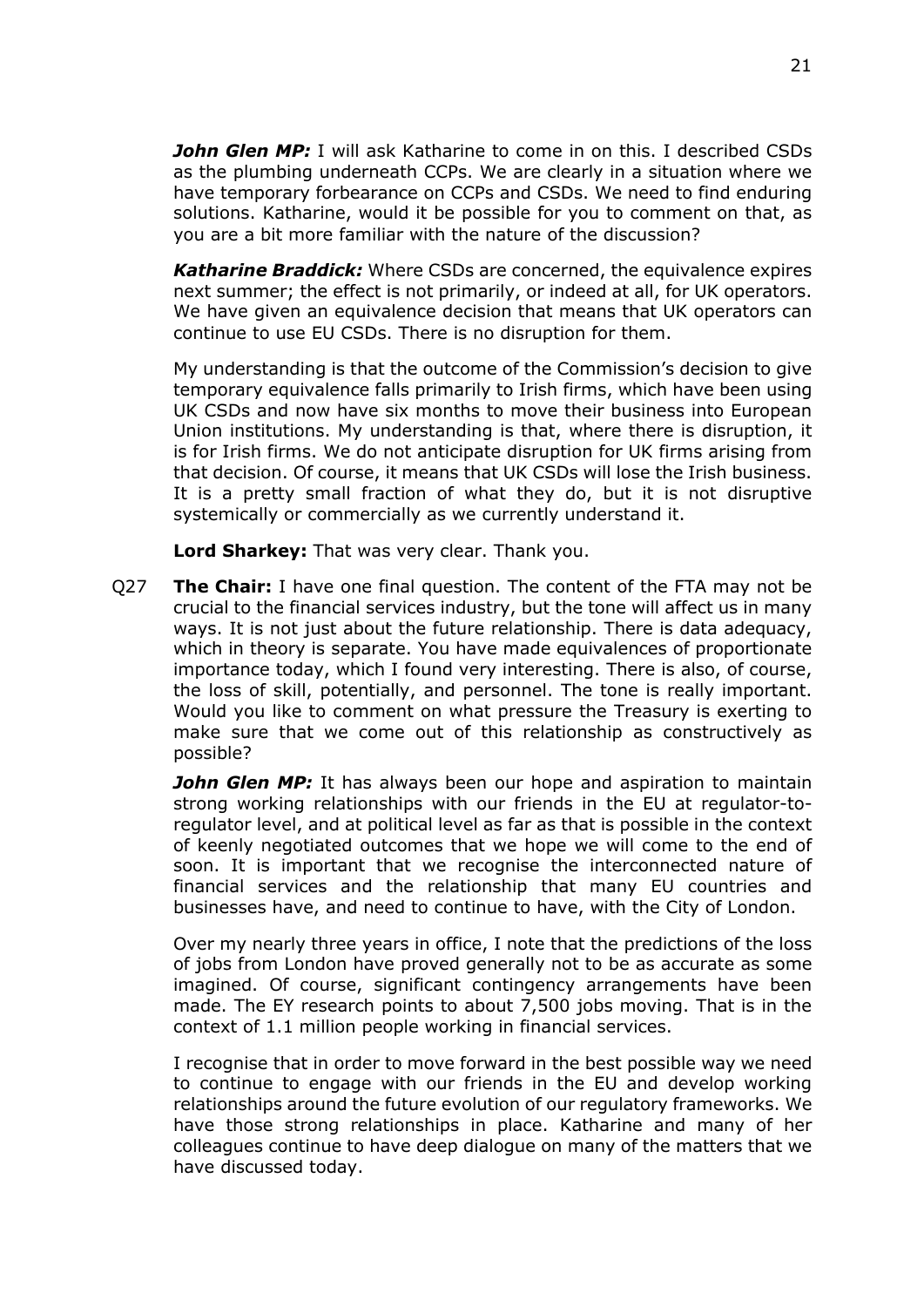*John Glen MP:* I will ask Katharine to come in on this. I described CSDs as the plumbing underneath CCPs. We are clearly in a situation where we have temporary forbearance on CCPs and CSDs. We need to find enduring solutions. Katharine, would it be possible for you to comment on that, as you are a bit more familiar with the nature of the discussion?

*Katharine Braddick:* Where CSDs are concerned, the equivalence expires next summer; the effect is not primarily, or indeed at all, for UK operators. We have given an equivalence decision that means that UK operators can continue to use EU CSDs. There is no disruption for them.

My understanding is that the outcome of the Commission's decision to give temporary equivalence falls primarily to Irish firms, which have been using UK CSDs and now have six months to move their business into European Union institutions. My understanding is that, where there is disruption, it is for Irish firms. We do not anticipate disruption for UK firms arising from that decision. Of course, it means that UK CSDs will lose the Irish business. It is a pretty small fraction of what they do, but it is not disruptive systemically or commercially as we currently understand it.

**Lord Sharkey:** That was very clear. Thank you.

Q27 **The Chair:** I have one final question. The content of the FTA may not be crucial to the financial services industry, but the tone will affect us in many ways. It is not just about the future relationship. There is data adequacy, which in theory is separate. You have made equivalences of proportionate importance today, which I found very interesting. There is also, of course, the loss of skill, potentially, and personnel. The tone is really important. Would you like to comment on what pressure the Treasury is exerting to make sure that we come out of this relationship as constructively as possible?

*John Glen MP:* It has always been our hope and aspiration to maintain strong working relationships with our friends in the EU at regulator-toregulator level, and at political level as far as that is possible in the context of keenly negotiated outcomes that we hope we will come to the end of soon. It is important that we recognise the interconnected nature of financial services and the relationship that many EU countries and businesses have, and need to continue to have, with the City of London.

Over my nearly three years in office, I note that the predictions of the loss of jobs from London have proved generally not to be as accurate as some imagined. Of course, significant contingency arrangements have been made. The EY research points to about 7,500 jobs moving. That is in the context of 1.1 million people working in financial services.

I recognise that in order to move forward in the best possible way we need to continue to engage with our friends in the EU and develop working relationships around the future evolution of our regulatory frameworks. We have those strong relationships in place. Katharine and many of her colleagues continue to have deep dialogue on many of the matters that we have discussed today.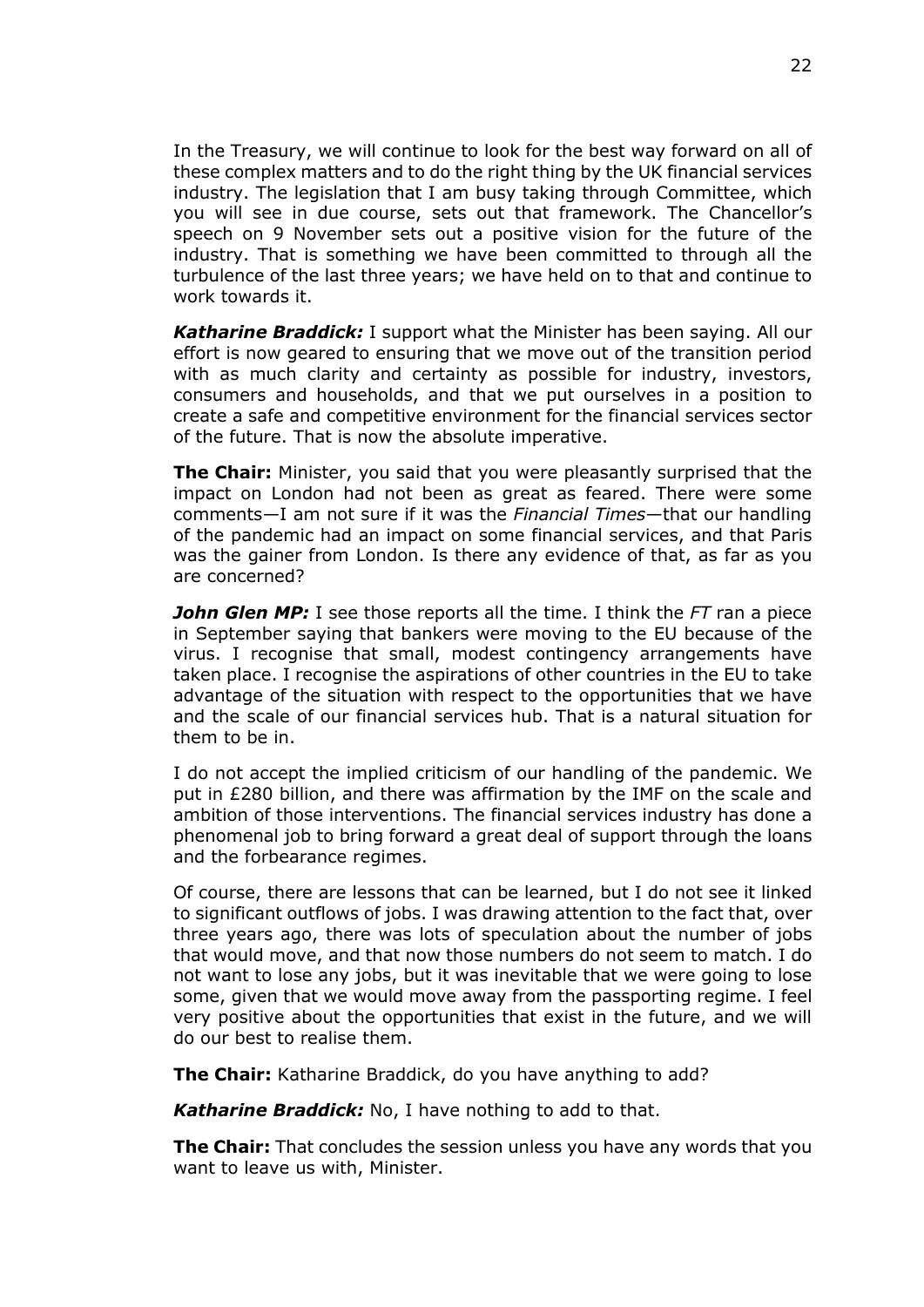In the Treasury, we will continue to look for the best way forward on all of these complex matters and to do the right thing by the UK financial services industry. The legislation that I am busy taking through Committee, which you will see in due course, sets out that framework. The Chancellor's speech on 9 November sets out a positive vision for the future of the industry. That is something we have been committed to through all the turbulence of the last three years; we have held on to that and continue to work towards it.

*Katharine Braddick:* I support what the Minister has been saying. All our effort is now geared to ensuring that we move out of the transition period with as much clarity and certainty as possible for industry, investors, consumers and households, and that we put ourselves in a position to create a safe and competitive environment for the financial services sector of the future. That is now the absolute imperative.

**The Chair:** Minister, you said that you were pleasantly surprised that the impact on London had not been as great as feared. There were some comments—I am not sure if it was the *Financial Times*—that our handling of the pandemic had an impact on some financial services, and that Paris was the gainer from London. Is there any evidence of that, as far as you are concerned?

*John Glen MP:* I see those reports all the time. I think the *FT* ran a piece in September saying that bankers were moving to the EU because of the virus. I recognise that small, modest contingency arrangements have taken place. I recognise the aspirations of other countries in the EU to take advantage of the situation with respect to the opportunities that we have and the scale of our financial services hub. That is a natural situation for them to be in.

I do not accept the implied criticism of our handling of the pandemic. We put in £280 billion, and there was affirmation by the IMF on the scale and ambition of those interventions. The financial services industry has done a phenomenal job to bring forward a great deal of support through the loans and the forbearance regimes.

Of course, there are lessons that can be learned, but I do not see it linked to significant outflows of jobs. I was drawing attention to the fact that, over three years ago, there was lots of speculation about the number of jobs that would move, and that now those numbers do not seem to match. I do not want to lose any jobs, but it was inevitable that we were going to lose some, given that we would move away from the passporting regime. I feel very positive about the opportunities that exist in the future, and we will do our best to realise them.

**The Chair:** Katharine Braddick, do you have anything to add?

*Katharine Braddick:* No, I have nothing to add to that.

**The Chair:** That concludes the session unless you have any words that you want to leave us with, Minister.